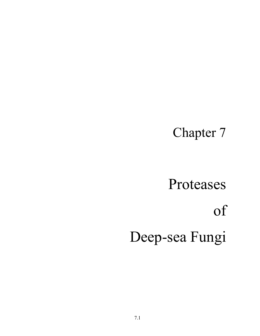# Chapter 7

# Proteases of Deep-sea Fungi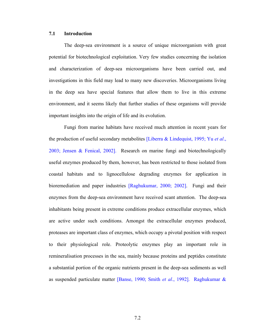#### **7.1 Introduction**

The deep-sea environment is a source of unique microorganism with great potential for biotechnological exploitation. Very few studies concerning the isolation and characterization of deep-sea microorganisms have been carried out, and investigations in this field may lead to many new discoveries. Microorganisms living in the deep sea have special features that allow them to live in this extreme environment, and it seems likely that further studies of these organisms will provide important insights into the origin of life and its evolution.

Fungi from marine habitats have received much attention in recent years for the production of useful secondary metabolites [Liberra & Lindequist, 1995; Yu *et al*., 2003; Jensen & Fenical, 2002]. Research on marine fungi and biotechnologically useful enzymes produced by them, however, has been restricted to those isolated from coastal habitats and to lignocellulose degrading enzymes for application in bioremediation and paper industries [Raghukumar, 2000; 2002]. Fungi and their enzymes from the deep-sea environment have received scant attention. The deep-sea inhabitants being present in extreme conditions produce extracellular enzymes, which are active under such conditions. Amongst the extracellular enzymes produced, proteases are important class of enzymes, which occupy a pivotal position with respect to their physiological role. Proteolytic enzymes play an important role in remineralisation processes in the sea, mainly because proteins and peptides constitute a substantial portion of the organic nutrients present in the deep-sea sediments as well as suspended particulate matter [Banse, 1990; Smith *et al*., 1992]. Raghukumar &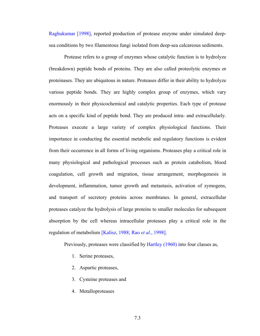Raghukumar [1998], reported production of protease enzyme under simulated deepsea conditions by two filamentous fungi isolated from deep-sea calcareous sediments.

Protease refers to a group of enzymes whose catalytic function is to hydrolyze (breakdown) peptide bonds of proteins. They are also called proteolytic enzymes or proteinases. They are ubiquitous in nature. Proteases differ in their ability to hydrolyze various peptide bonds. They are highly complex group of enzymes, which vary enormously in their physicochemical and catalytic properties. Each type of protease acts on a specific kind of peptide bond. They are produced intra- and extracellularly. Proteases execute a large variety of complex physiological functions. Their importance in conducting the essential metabolic and regulatory functions is evident from their occurrence in all forms of living organisms. Proteases play a critical role in many physiological and pathological processes such as protein catabolism, blood coagulation, cell growth and migration, tissue arrangement, morphogenesis in development, inflammation, tumor growth and metastasis, activation of zymogens, and transport of secretory proteins across membranes. In general, extracellular proteases catalyze the hydrolysis of large proteins to smaller molecules for subsequent absorption by the cell whereas intracellular proteases play a critical role in the regulation of metabolism [Kalisz, 1988; Rao *et al*., 1998].

Previously, proteases were classified by Hartley (1960) into four classes as,

- 1. Serine proteases,
- 2. Aspartic proteases,
- 3. Cysteine proteases and
- 4. Metalloproteases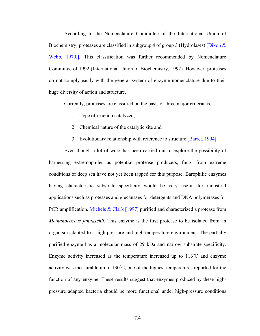According to the Nomenclature Committee of the International Union of Biochemistry, proteases are classified in subgroup 4 of group 3 (Hydrolases) [Dixon  $\&$ Webb, 1979,]. This classification was further recommended by Nomenclature Committee of 1992 (International Union of Biochemistry, 1992). However, proteases do not comply easily with the general system of enzyme nomenclature due to their huge diversity of action and structure.

Currently, proteases are classified on the basis of three major criteria as,

- 1. Type of reaction catalyzed,
- 2. Chemical nature of the catalytic site and
- 3. Evolutionary relationship with reference to structure [Barret, 1994]

Even though a lot of work has been carried out to explore the possibility of harnessing extremophiles as potential protease producers, fungi from extreme conditions of deep sea have not yet been tapped for this purpose. Barophilic enzymes having characteristic substrate specificity would be very useful for industrial applications such as proteases and glucanases for detergents and DNA polymerases for PCR amplification. Michels & Clark [1997] purified and characterized a protease from *Methanococcus jannaschii*. This enzyme is the first protease to be isolated from an organism adapted to a high pressure and high temperature environment. The partially purified enzyme has a molecular mass of 29 kDa and narrow substrate specificity. Enzyme activity increased as the temperature increased up to  $116^{\circ}$ C and enzyme activity was measurable up to  $130^{\circ}$ C, one of the highest temperatures reported for the function of any enzyme. These results suggest that enzymes produced by these highpressure adapted bacteria should be more functional under high-pressure conditions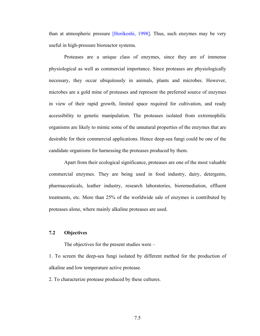than at atmospheric pressure [Horikoshi, 1998]. Thus, such enzymes may be very useful in high-pressure bioreactor systems.

Proteases are a unique class of enzymes, since they are of immense physiological as well as commercial importance. Since proteases are physiologically necessary, they occur ubiquitously in animals, plants and microbes. However, microbes are a gold mine of proteases and represent the preferred source of enzymes in view of their rapid growth, limited space required for cultivation, and ready accessibility to genetic manipulation. The proteases isolated from extremophilic organisms are likely to mimic some of the unnatural properties of the enzymes that are desirable for their commercial applications. Hence deep-sea fungi could be one of the candidate organisms for harnessing the proteases produced by them.

Apart from their ecological significance, proteases are one of the most valuable commercial enzymes. They are being used in food industry, dairy, detergents, pharmaceuticals, leather industry, research laboratories, bioremediation, effluent treatments, etc. More than 25% of the worldwide sale of enzymes is contributed by proteases alone, where mainly alkaline proteases are used.

#### **7.2 Objectives**

The objectives for the present studies were –

1. To screen the deep-sea fungi isolated by different method for the production of alkaline and low temperature active protease.

2. To characterize protease produced by these cultures.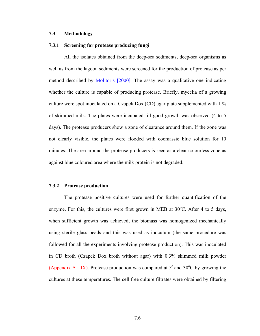#### **7.3 Methodology**

#### **7.3.1 Screening for protease producing fungi**

All the isolates obtained from the deep-sea sediments, deep-sea organisms as well as from the lagoon sediments were screened for the production of protease as per method described by Molitoris [2000]. The assay was a qualitative one indicating whether the culture is capable of producing protease. Briefly, mycelia of a growing culture were spot inoculated on a Czapek Dox (CD) agar plate supplemented with 1 % of skimmed milk. The plates were incubated till good growth was observed (4 to 5 days). The protease producers show a zone of clearance around them. If the zone was not clearly visible, the plates were flooded with coomassie blue solution for 10 minutes. The area around the protease producers is seen as a clear colourless zone as against blue coloured area where the milk protein is not degraded.

#### **7.3.2 Protease production**

The protease positive cultures were used for further quantification of the enzyme. For this, the cultures were first grown in MEB at  $30^{\circ}$ C. After 4 to 5 days, when sufficient growth was achieved, the biomass was homogenized mechanically using sterile glass beads and this was used as inoculum (the same procedure was followed for all the experiments involving protease production). This was inoculated in CD broth (Czapek Dox broth without agar) with 0.3% skimmed milk powder (Appendix A - IX). Protease production was compared at  $5^{\circ}$  and  $30^{\circ}$ C by growing the cultures at these temperatures. The cell free culture filtrates were obtained by filtering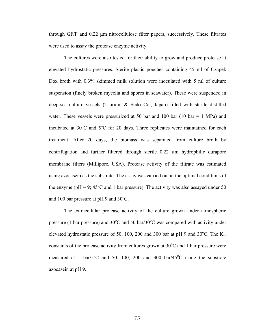through GF/F and 0.22 µm nitrocellulose filter papers, successively. These filtrates were used to assay the protease enzyme activity.

The cultures were also tested for their ability to grow and produce protease at elevated hydrostatic pressures. Sterile plastic pouches containing 45 ml of Czapek Dox broth with 0.3% skimmed milk solution were inoculated with 5 ml of culture suspension (finely broken mycelia and spores in seawater). These were suspended in deep-sea culture vessels (Tsurumi & Seiki Co., Japan) filled with sterile distilled water. These vessels were pressurized at 50 bar and 100 bar (10 bar = 1 MPa) and incubated at  $30^{\circ}$ C and  $5^{\circ}$ C for 20 days. Three replicates were maintained for each treatment. After 20 days, the biomass was separated from culture broth by centrifugation and further filtered through sterile 0.22 µm hydrophilic durapore membrane filters (Millipore, USA). Protease activity of the filtrate was estimated using azocasein as the substrate. The assay was carried out at the optimal conditions of the enzyme ( $pH = 9$ ;  $45^{\circ}$ C and 1 bar pressure). The activity was also assayed under 50 and 100 bar pressure at pH 9 and  $30^{\circ}$ C.

The extracellular protease activity of the culture grown under atmospheric pressure (1 bar pressure) and  $30^{\circ}$ C and  $50$  bar/ $30^{\circ}$ C was compared with activity under elevated hydrostatic pressure of 50, 100, 200 and 300 bar at pH 9 and  $30^{\circ}$ C. The  $K_m$ constants of the protease activity from cultures grown at  $30^{\circ}$ C and 1 bar pressure were measured at 1 bar/ $5^{\circ}$ C and 50, 100, 200 and 300 bar/45 $^{\circ}$ C using the substrate azocasein at pH 9.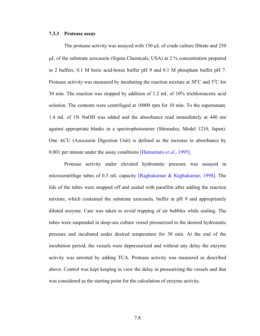#### **7.3.3 Protease assay**

The protease activity was assayed with 150  $\mu$ L of crude culture filtrate and 250 µL of the substrate azocasein (Sigma Chemicals, USA) at 2 % concentration prepared in 2 buffers, 0.1 M boric acid-borax buffer pH 9 and 0.1 M phosphate buffer pH 7. Protease activity was measured by incubating the reaction mixture at  $30^{\circ}$ C and  $5^{\circ}$ C for 30 min. The reaction was stopped by addition of 1.2 mL of 10% trichloroacetic acid solution. The contents were centrifuged at 10000 rpm for 10 min. To the supernatant, 1.4 mL of 1N NaOH was added and the absorbance read immediately at 440 nm against appropriate blanks in a spectrophotometer (Shimadzu, Model 1210, Japan). One ACU (Azocasein Digestion Unit) is defined as the increase in absorbance by 0.001 per minute under the assay conditions [Hamamato *et al*., 1995].

Protease activity under elevated hydrostatic pressure was assayed in microcentrifuge tubes of 0.5 mL capacity [Raghukumar & Raghukumar, 1998]. The lids of the tubes were snapped off and sealed with parafilm after adding the reaction mixture, which contained the substrate azocasein, buffer at pH 9 and appropriately diluted enzyme. Care was taken to avoid trapping of air bubbles while sealing. The tubes were suspended in deep-sea culture vessel pressurized to the desired hydrostatic pressure and incubated under desired temperature for 30 min. At the end of the incubation period, the vessels were depressurized and without any delay the enzyme activity was arrested by adding TCA. Protease activity was measured as described above. Control was kept keeping in view the delay in pressurizing the vessels and that was considered as the starting point for the calculation of enzyme activity.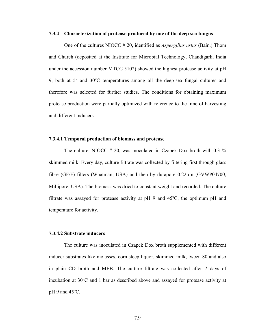#### **7.3.4 Characterization of protease produced by one of the deep sea fungus**

One of the cultures NIOCC # 20, identified as *Aspergillus ustus* (Bain.) Thom and Church (deposited at the Institute for Microbial Technology, Chandigarh, India under the accession number MTCC 5102) showed the highest protease activity at pH 9, both at  $5^\circ$  and  $30^\circ$ C temperatures among all the deep-sea fungal cultures and therefore was selected for further studies. The conditions for obtaining maximum protease production were partially optimized with reference to the time of harvesting and different inducers.

#### **7.3.4.1 Temporal production of biomass and protease**

The culture, NIOCC  $# 20$ , was inoculated in Czapek Dox broth with 0.3 % skimmed milk. Every day, culture filtrate was collected by filtering first through glass fibre (GF/F) filters (Whatman, USA) and then by durapore 0.22µm (GVWP04700, Millipore, USA). The biomass was dried to constant weight and recorded. The culture filtrate was assayed for protease activity at pH 9 and  $45^{\circ}$ C, the optimum pH and temperature for activity.

#### **7.3.4.2 Substrate inducers**

The culture was inoculated in Czapek Dox broth supplemented with different inducer substrates like molasses, corn steep liquor, skimmed milk, tween 80 and also in plain CD broth and MEB. The culture filtrate was collected after 7 days of incubation at  $30^{\circ}$ C and 1 bar as described above and assayed for protease activity at  $pH$  9 and 45 $^{\circ}$ C.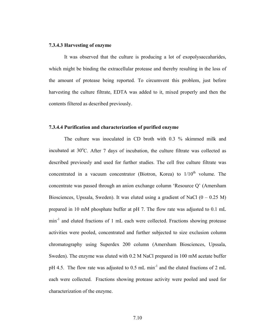#### **7.3.4.3 Harvesting of enzyme**

It was observed that the culture is producing a lot of exopolysaccaharides, which might be binding the extracellular protease and thereby resulting in the loss of the amount of protease being reported. To circumvent this problem, just before harvesting the culture filtrate, EDTA was added to it, mixed properly and then the contents filtered as described previously.

#### **7.3.4.4 Purification and characterization of purified enzyme**

The culture was inoculated in CD broth with 0.3 % skimmed milk and incubated at  $30^{\circ}$ C. After 7 days of incubation, the culture filtrate was collected as described previously and used for further studies. The cell free culture filtrate was concentrated in a vacuum concentrator (Biotron, Korea) to  $1/10<sup>th</sup>$  volume. The concentrate was passed through an anion exchange column 'Resource Q' (Amersham Biosciences, Upssala, Sweden). It was eluted using a gradient of NaCl  $(0 - 0.25 M)$ prepared in 10 mM phosphate buffer at pH 7. The flow rate was adjusted to 0.1 mL min<sup>-1</sup> and eluted fractions of 1 mL each were collected. Fractions showing protease activities were pooled, concentrated and further subjected to size exclusion column chromatography using Superdex 200 column (Amersham Biosciences, Upssala, Sweden). The enzyme was eluted with 0.2 M NaCl prepared in 100 mM acetate buffer pH 4.5. The flow rate was adjusted to 0.5 mL min<sup>-1</sup> and the eluted fractions of 2 mL each were collected. Fractions showing protease activity were pooled and used for characterization of the enzyme.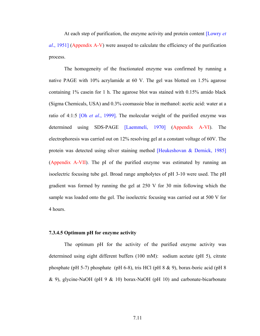At each step of purification, the enzyme activity and protein content [Lowry *et al*., 1951] (Appendix A-V) were assayed to calculate the efficiency of the purification process.

The homogeneity of the fractionated enzyme was confirmed by running a native PAGE with 10% acrylamide at 60 V. The gel was blotted on 1.5% agarose containing 1% casein for 1 h. The agarose blot was stained with 0.15% amido black (Sigma Chemicals, USA) and 0.3% coomassie blue in methanol: acetic acid: water at a ratio of 4:1:5 [Oh *et al*., 1999]. The molecular weight of the purified enzyme was determined using SDS-PAGE [Laemmeli, 1970] (Appendix A-VI). The electrophoresis was carried out on 12% resolving gel at a constant voltage of 60V. The protein was detected using silver staining method [Heukeshovan & Dernick, 1985] (Appendix A-VII). The pI of the purified enzyme was estimated by running an isoelectric focusing tube gel. Broad range ampholytes of pH 3-10 were used. The pH gradient was formed by running the gel at 250 V for 30 min following which the sample was loaded onto the gel. The isoelectric focusing was carried out at 500 V for 4 hours.

#### **7.3.4.5 Optimum pH for enzyme activity**

The optimum pH for the activity of the purified enzyme activity was determined using eight different buffers (100 mM): sodium acetate (pH 5), citrate phosphate (pH 5-7) phosphate (pH 6-8), tris HCl (pH 8 & 9), borax-boric acid (pH 8 & 9), glycine-NaOH (pH 9 & 10) borax-NaOH (pH 10) and carbonate-bicarbonate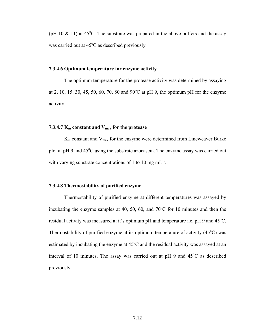(pH 10  $\&$  11) at 45°C. The substrate was prepared in the above buffers and the assay was carried out at  $45^{\circ}$ C as described previously.

#### **7.3.4.6 Optimum temperature for enzyme activity**

The optimum temperature for the protease activity was determined by assaying at 2, 10, 15, 30, 45, 50, 60, 70, 80 and  $90^{\circ}$ C at pH 9, the optimum pH for the enzyme activity.

#### **7.3.4.7**  $K_m$  constant and  $V_{max}$  for the protease

 $K<sub>m</sub>$  constant and  $V<sub>max</sub>$  for the enzyme were determined from Lineweaver Burke plot at pH 9 and 45°C using the substrate azocasein. The enzyme assay was carried out with varying substrate concentrations of 1 to 10 mg  $mL^{-1}$ .

#### **7.3.4.8 Thermostability of purified enzyme**

Thermostability of purified enzyme at different temperatures was assayed by incubating the enzyme samples at 40, 50, 60, and  $70^{\circ}$ C for 10 minutes and then the residual activity was measured at it's optimum pH and temperature i.e. pH 9 and  $45^{\circ}$ C. Thermostability of purified enzyme at its optimum temperature of activity  $(45^{\circ}C)$  was estimated by incubating the enzyme at  $45^{\circ}$ C and the residual activity was assayed at an interval of 10 minutes. The assay was carried out at  $pH$  9 and  $45^{\circ}$ C as described previously.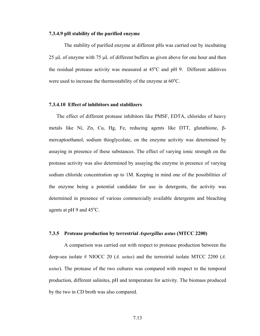#### **7.3.4.9 pH stability of the purified enzyme**

The stability of purified enzyme at different pHs was carried out by incubating 25 µL of enzyme with 75 µL of different buffers as given above for one hour and then the residual protease activity was measured at  $45^{\circ}$ C and pH 9. Different additives were used to increase the thermostability of the enzyme at  $60^{\circ}$ C.

#### **7.3.4.10 Effect of inhibitors and stabilizers**

The effect of different protease inhibitors like PMSF, EDTA, chlorides of heavy metals like Ni, Zn, Cu, Hg, Fe, reducing agents like DTT, glutathione, βmercaptoethanol, sodium thioglycolate, on the enzyme activity was determined by assaying in presence of these substances. The effect of varying ionic strength on the protease activity was also determined by assaying the enzyme in presence of varying sodium chloride concentration up to 1M. Keeping in mind one of the possibilities of the enzyme being a potential candidate for use in detergents, the activity was determined in presence of various commercially available detergents and bleaching agents at  $pH$  9 and 45 $^{\circ}$ C.

#### **7.3.5 Protease production by terrestrial** *Aspergillus ustus* **(MTCC 2200)**

A comparison was carried out with respect to protease production between the deep-sea isolate # NIOCC 20 (*A. ustus*) and the terrestrial isolate MTCC 2200 (*A. ustus*). The protease of the two cultures was compared with respect to the temporal production, different salinites, pH and temperature for activity. The biomass produced by the two in CD broth was also compared.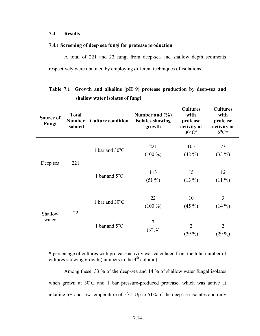#### **7.4 Results**

#### **7.4.1 Screening of deep sea fungi for protease production**

A total of 221 and 22 fungi from deep-sea and shallow depth sediments respectively were obtained by employing different techniques of isolations.

| Source of<br>Fungi | <b>Total</b><br><b>Number</b><br>isolated | <b>Culture condition</b> | Number and $(\% )$<br>isolates showing<br>growth | <b>Cultures</b><br>with<br>protease<br>activity at<br>$30^{\circ}C^{*}$ | <b>Cultures</b><br>with<br>protease<br>activity at<br>$5^{\circ}C^*$ |
|--------------------|-------------------------------------------|--------------------------|--------------------------------------------------|-------------------------------------------------------------------------|----------------------------------------------------------------------|
| Deep sea           | 221                                       | 1 bar and $30^{\circ}$ C | 221<br>$(100\%)$                                 | 105<br>$(48\%)$                                                         | 73<br>$(33\%)$                                                       |
|                    |                                           | 1 bar and $5^{\circ}$ C  | 113<br>$(51\%)$                                  | 15<br>$(13\%)$                                                          | 12<br>$(11\%)$                                                       |
| Shallow            | 22                                        | 1 bar and $30^{\circ}$ C | 22<br>$(100\%)$                                  | 10<br>$(45\%)$                                                          | 3<br>$(14\%)$                                                        |
| water              |                                           | 1 bar and $5^{\circ}$ C  | $\overline{7}$<br>(32%)                          | $\overline{2}$<br>$(29\%)$                                              | $\overline{2}$<br>$(29\%)$                                           |

## **Table 7.1 Growth and alkaline (pH 9) protease production by deep-sea and shallow water isolates of fungi**

**\*** percentage of cultures with protease activity was calculated from the total number of cultures showing growth (numbers in the  $4<sup>th</sup>$  column)

Among these, 33 % of the deep-sea and 14 % of shallow water fungal isolates when grown at  $30^{\circ}$ C and 1 bar pressure-produced protease, which was active at alkaline pH and low temperature of  $5^{\circ}$ C. Up to 51% of the deep-sea isolates and only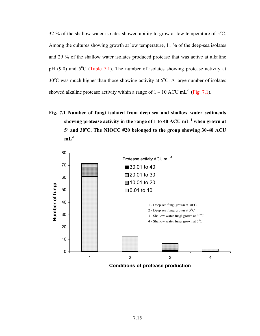32 % of the shallow water isolates showed ability to grow at low temperature of  $5^{\circ}$ C. Among the cultures showing growth at low temperature, 11 % of the deep-sea isolates and 29 % of the shallow water isolates produced protease that was active at alkaline pH  $(9.0)$  and  $5^{\circ}$ C (Table 7.1). The number of isolates showing protease activity at  $30^{\circ}$ C was much higher than those showing activity at  $5^{\circ}$ C. A large number of isolates showed alkaline protease activity within a range of  $1 - 10$  ACU mL<sup>-1</sup> (Fig. 7.1).

**Fig. 7.1 Number of fungi isolated from deep-sea and shallow–water sediments showing protease activity in the range of 1 to 40 ACU mL-1 when grown at 5o and 30<sup>o</sup> C. The NIOCC #20 belonged to the group showing 30-40 ACU**   $mL^{-1}$ 

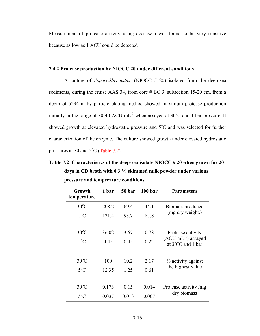Measurement of protease activity using azocasein was found to be very sensitive because as low as 1 ACU could be detected

#### **7.4.2 Protease production by NIOCC 20 under different conditions**

A culture of *Aspergillus ustus*, (NIOCC # 20) isolated from the deep-sea sediments, during the cruise AAS 34, from core # BC 3, subsection 15-20 cm, from a depth of 5294 m by particle plating method showed maximum protease production initially in the range of 30-40 ACU mL<sup>-1</sup> when assayed at 30<sup>o</sup>C and 1 bar pressure. It showed growth at elevated hydrostatic pressure and 5°C and was selected for further characterization of the enzyme. The culture showed growth under elevated hydrostatic pressures at 30 and  $5^{\circ}$ C (Table 7.2).

**Table 7.2 Characteristics of the deep-sea isolate NIOCC # 20 when grown for 20 days in CD broth with 0.3 % skimmed milk powder under various pressure and temperature conditions** 

| Growth<br>temperature | 1 bar | 50 bar | 100 <sub>bar</sub> | <b>Parameters</b>                                              |  |
|-----------------------|-------|--------|--------------------|----------------------------------------------------------------|--|
| $30^{\circ}$ C        | 208.2 | 69.4   | 44.1               | Biomass produced                                               |  |
| $5^{\circ}$ C         | 121.4 | 93.7   | 85.8               | (mg dry weight.)                                               |  |
|                       |       |        |                    |                                                                |  |
| $30^{\circ}$ C        | 36.02 | 3.67   | 0.78               | Protease activity                                              |  |
| $5^{\circ}$ C         | 4.45  | 0.45   | 0.22               | $(ACU \text{ mL}^{-1})$ assayed<br>at $30^{\circ}$ C and 1 bar |  |
|                       |       |        |                    |                                                                |  |
| $30^{\circ}$ C        | 100   | 10.2   | 2.17               | % activity against                                             |  |
| $5^{\circ}$ C         | 12.35 | 1.25   | 0.61               | the highest value                                              |  |
|                       |       |        |                    |                                                                |  |
| $30^{\circ}$ C        | 0.173 | 0.15   | 0.014              | Protease activity /mg                                          |  |
| $5^{\circ}$ C         | 0.037 | 0.013  | 0.007              | dry biomass                                                    |  |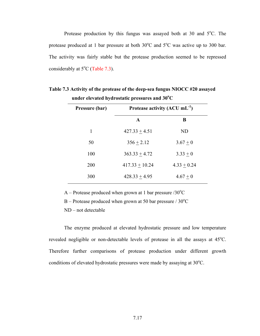Protease production by this fungus was assayed both at 30 and  $5^{\circ}$ C. The protease produced at 1 bar pressure at both  $30^{\circ}$ C and  $5^{\circ}$ C was active up to 300 bar. The activity was fairly stable but the protease production seemed to be repressed considerably at  $5^{\circ}$ C (Table 7.3).

| Pressure (bar) | Protease activity $(ACU mL^{-1})$ |               |  |
|----------------|-----------------------------------|---------------|--|
|                | $\mathbf{A}$                      | B             |  |
| 1              | $427.33 + 4.51$                   | <b>ND</b>     |  |
| 50             | $356 + 2.12$                      | $3.67 + 0$    |  |
| 100            | $363.33 + 4.72$                   | $3.33 + 0$    |  |
| 200            | $417.33 + 10.24$                  | $4.33 + 0.24$ |  |
| 300            | $428.33 + 4.95$                   | $4.67 + 0$    |  |

**Table 7.3 Activity of the protease of the deep-sea fungus NIOCC #20 assayed**  under elevated hydrostatic pressures and  $30^{\circ}$ C

A – Protease produced when grown at 1 bar pressure  $/30^{\circ}$ C

 $B -$  Protease produced when grown at 50 bar pressure / 30 $^{\circ}$ C

ND – not detectable

The enzyme produced at elevated hydrostatic pressure and low temperature revealed negligible or non-detectable levels of protease in all the assays at  $45^{\circ}$ C. Therefore further comparisons of protease production under different growth conditions of elevated hydrostatic pressures were made by assaying at  $30^{\circ}$ C.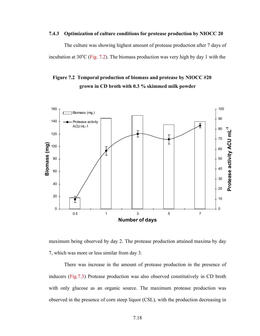#### **7.4.3 Optimization of culture conditions for protease production by NIOCC 20**

The culture was showing highest amount of protease production after 7 days of incubation at  $30^{\circ}$ C (Fig. 7.2). The biomass production was very high by day 1 with the

### **Figure 7.2 Temporal production of biomass and protease by NIOCC #20 grown in CD broth with 0.3 % skimmed milk powder**



maximum being observed by day 2. The protease production attained maxima by day 7, which was more or less similar from day 3.

There was increase in the amount of protease production in the presence of inducers (Fig.7.3) Protease production was also observed constitutively in CD broth with only glucose as an organic source. The maximum protease production was observed in the presence of corn steep liquor (CSL), with the production decreasing in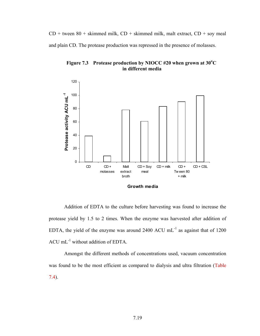$CD +$  tween 80 + skimmed milk,  $CD +$  skimmed milk, malt extract,  $CD +$  soy meal and plain CD. The protease production was repressed in the presence of molasses.

Figure 7.3 Protease production by NIOCC #20 when grown at 30<sup>o</sup>C  **in different media** 



Addition of EDTA to the culture before harvesting was found to increase the protease yield by 1.5 to 2 times. When the enzyme was harvested after addition of EDTA, the yield of the enzyme was around 2400 ACU  $mL^{-1}$  as against that of 1200 ACU mL-1 without addition of EDTA.

Amongst the different methods of concentrations used, vacuum concentration was found to be the most efficient as compared to dialysis and ultra filtration (Table 7.4).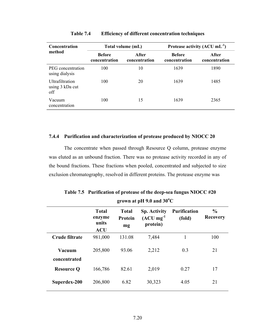| <b>Concentration</b>                             |                                | Total volume (mL)      | Protease activity $(ACU mL^{-1})$ |                        |  |
|--------------------------------------------------|--------------------------------|------------------------|-----------------------------------|------------------------|--|
| method                                           | <b>Before</b><br>concentration | After<br>concentration | <b>Before</b><br>concentration    | After<br>concentration |  |
| PEG concentration<br>using dialysis              | 100                            | 10                     | 1639                              | 1890                   |  |
| <b>Ultrafiltration</b><br>using 3 kDa cut<br>off | 100                            | 20                     | 1639                              | 1485                   |  |
| Vacuum<br>concentration                          | 100                            | 15                     | 1639                              | 2365                   |  |

**Table 7.4 Efficiency of different concentration techniques** 

#### **7.4.4 Purification and characterization of protease produced by NIOCC 20**

The concentrate when passed through Resource Q column, protease enzyme was eluted as an unbound fraction. There was no protease activity recorded in any of the bound fractions. These fractions when pooled, concentrated and subjected to size exclusion chromatography, resolved in different proteins. The protease enzyme was

|                        | <b>Total</b><br>enzyme<br>units<br><b>ACU</b> | <b>Total</b><br>Protein<br>mg | <b>Sp. Activity</b><br>$(ACU mg-1)$<br>protein) | <b>Purification</b><br>(fold) | $\frac{6}{9}$<br><b>Recovery</b> |
|------------------------|-----------------------------------------------|-------------------------------|-------------------------------------------------|-------------------------------|----------------------------------|
| Crude filtrate         | 981,000                                       | 131.08                        | 7,484                                           | 1                             | 100                              |
| Vacuum<br>concentrated | 205,800                                       | 93.06                         | 2,212                                           | 0.3                           | 21                               |
| <b>Resource Q</b>      | 166,786                                       | 82.61                         | 2,019                                           | 0.27                          | 17                               |
| Superdex-200           | 206,800                                       | 6.82                          | 30,323                                          | 4.05                          | 21                               |

**Table 7.5 Purification of protease of the deep-sea fungus NIOCC #20 grown at pH 9.0 and 30<sup>o</sup> C**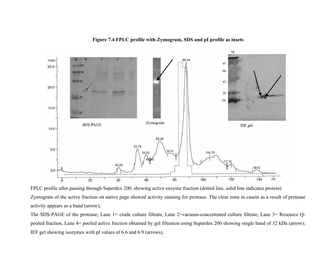**Figure 7.4 FPLC profile with Zymogram, SDS and pI profile as insets** 



FPLC profile after passing through Superdex 200, showing active enzyme fraction (dotted line, solid line indicates protein) Zymogram of the active fraction on native page showed activity staining for protease. The clear zone in casein as a result of protease activity appears as a band (arrow);

The SDS-PAGE of the protease; Lane 1= crude culture filtrate, Lane 2=vacuum-concentrated culture filtrate, Lane 3= Resource Qpooled fraction, Lane 4= pooled active fraction obtained by gel filtration using Superdex 200 showing single band of 32 kDa (arrow); IEF gel showing isozymes with pI values of 6.6 and 6.9 (arrows).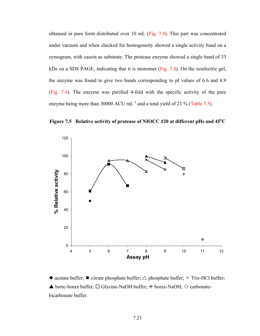obtained in pure form distributed over 10 mL (Fig. 7.4). This part was concentrated under vacuum and when checked for homogeneity showed a single activity band on a zymogram, with casein as substrate. The protease enzyme showed a single band of 33 kDa on a SDS PAGE, indicating that it is monomer (Fig. 7.4). On the isoelectric gel, the enzyme was found to give two bands corresponding to pI values of 6.6 and 6.9 (Fig. 7.4). The enzyme was purified 4-fold with the specific activity of the pure enzyme being more than 30000 ACU mL<sup>-1</sup> and a total yield of 21 % (Table 7.5).

Figure 7.5 Relative activity of protease of NIOCC #20 at different pHs and 45<sup>o</sup>C



• acetate buffer;  $\blacksquare$  citrate phosphate buffer;  $\triangle$  phosphate buffer;  $\times$  Tris-HCl buffer;  $\blacktriangle$  boric-borax buffer;  $\Box$  Glycine-NaOH buffer;  $+$  borax-NaOH;  $\diamondsuit$  carbonatebicarbonate buffer.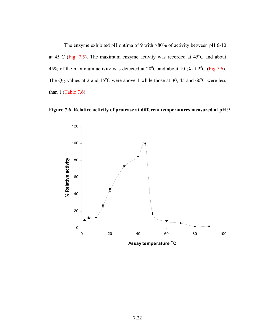The enzyme exhibited pH optima of 9 with >80% of activity between pH 6-10 at  $45^{\circ}$ C (Fig. 7.5). The maximum enzyme activity was recorded at  $45^{\circ}$ C and about 45% of the maximum activity was detected at  $20^{\circ}$ C and about 10 % at  $2^{\circ}$ C (Fig. 7.6). The  $Q_{10}$  values at 2 and 15<sup>o</sup>C were above 1 while those at 30, 45 and 60<sup>o</sup>C were less than 1 (Table 7.6).



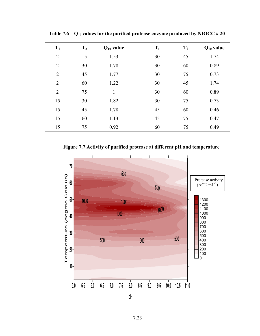| $T_1$          | T <sub>2</sub> | $Q_{10}$ value | $T_1$ | T <sub>2</sub> | $Q_{10}$ value |
|----------------|----------------|----------------|-------|----------------|----------------|
| $\overline{2}$ | 15             | 1.53           | 30    | 45             | 1.74           |
| $\overline{2}$ | 30             | 1.78           | 30    | 60             | 0.89           |
| $\overline{2}$ | 45             | 1.77           | 30    | 75             | 0.73           |
| $\overline{2}$ | 60             | 1.22           | 30    | 45             | 1.74           |
| $\overline{2}$ | 75             | $\mathbf{1}$   | 30    | 60             | 0.89           |
| 15             | 30             | 1.82           | 30    | 75             | 0.73           |
| 15             | 45             | 1.78           | 45    | 60             | 0.46           |
| 15             | 60             | 1.13           | 45    | 75             | 0.47           |
| 15             | 75             | 0.92           | 60    | 75             | 0.49           |

**Table 7.6 Q10 values for the purified protease enzyme produced by NIOCC # 20** 

**Figure 7.7 Activity of purified protease at different pH and temperature** 

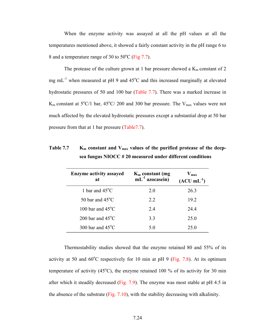When the enzyme activity was assayed at all the pH values at all the temperatures mentioned above, it showed a fairly constant activity in the pH range 6 to 8 and a temperature range of 30 to  $50^{\circ}$ C (Fig 7.7).

The protease of the culture grown at 1 bar pressure showed a  $K_m$  constant of 2 mg mL<sup>-1</sup> when measured at pH 9 and  $45^{\circ}$ C and this increased marginally at elevated hydrostatic pressures of 50 and 100 bar (Table 7.7). There was a marked increase in  $K_m$  constant at  $5^{\circ}C/1$  bar,  $45^{\circ}C/200$  and 300 bar pressure. The  $V_{max}$  values were not much affected by the elevated hydrostatic pressures except a substantial drop at 50 bar pressure from that at 1 bar pressure (Table7.7).

| <b>Enzyme activity assayed</b><br>at | $K_m$ constant (mg<br>$mL^{-1}$ azocasein) | $V_{max}$<br>$(ACU mL-1)$ |
|--------------------------------------|--------------------------------------------|---------------------------|
| 1 bar and $45^{\circ}$ C             | 2.0                                        | 26.3                      |
| 50 bar and $45^{\circ}$ C            | 2.2                                        | 19.2                      |
| 100 bar and $45^{\circ}$ C           | 2.4                                        | 24.4                      |
| 200 bar and $45^{\circ}$ C           | 3.3                                        | 25.0                      |
| 300 bar and $45^{\circ}$ C           | 5.0                                        | 25 <sup>0</sup>           |

Table 7.7 K<sub>m</sub> constant and V<sub>max</sub> values of the purified protease of the deep**sea fungus NIOCC # 20 measured under different conditions** 

Thermostability studies showed that the enzyme retained 80 and 55% of its activity at 50 and  $60^{\circ}$ C respectively for 10 min at pH 9 (Fig. 7.8). At its optimum temperature of activity (45 $^{\circ}$ C), the enzyme retained 100 % of its activity for 30 min after which it steadily decreased (Fig. 7.9). The enzyme was most stable at pH 4.5 in the absence of the substrate (Fig. 7.10), with the stability decreasing with alkalinity.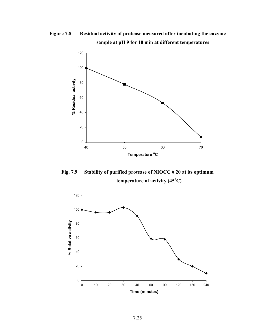**Figure 7.8 Residual activity of protease measured after incubating the enzyme sample at pH 9 for 10 min at different temperatures** 



**Fig. 7.9 Stability of purified protease of NIOCC # 20 at its optimum**  temperature of activity (45<sup>o</sup>C)

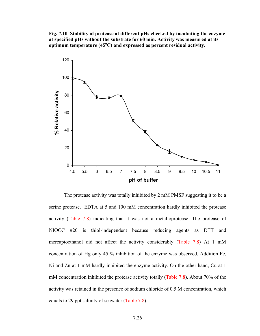**Fig. 7.10 Stability of protease at different pHs checked by incubating the enzyme at specified pHs without the substrate for 60 min. Activity was measured at its**  optimum temperature (45<sup>o</sup>C) and expressed as percent residual activity.



The protease activity was totally inhibited by 2 mM PMSF suggesting it to be a serine protease. EDTA at 5 and 100 mM concentration hardly inhibited the protease activity (Table 7.8) indicating that it was not a metalloprotease. The protease of NIOCC #20 is thiol-independent because reducing agents as DTT and mercaptoethanol did not affect the activity considerably (Table 7.8) At 1 mM concentration of Hg only 45 % inhibition of the enzyme was observed. Addition Fe, Ni and Zn at 1 mM hardly inhibited the enzyme activity. On the other hand, Cu at 1 mM concentration inhibited the protease activity totally (Table 7.8). About 70% of the activity was retained in the presence of sodium chloride of 0.5 M concentration, which equals to 29 ppt salinity of seawater (Table 7.8).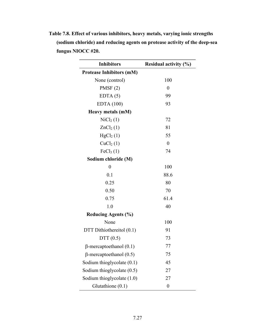| <b>Inhibitors</b>               | <b>Residual activity (%)</b> |
|---------------------------------|------------------------------|
| <b>Protease Inhibitors (mM)</b> |                              |
| None (control)                  | 100                          |
| PMSF(2)                         | $\overline{0}$               |
| EDTA(5)                         | 99                           |
| EDTA(100)                       | 93                           |
| Heavy metals (mM)               |                              |
| $\text{NiCl}_2(1)$              | 72                           |
| ZnCl <sub>2</sub> (1)           | 81                           |
| HgCl <sub>2</sub> (1)           | 55                           |
| CuCl <sub>2</sub> (1)           | $\overline{0}$               |
| FeCl <sub>3</sub> (1)           | 74                           |
| Sodium chloride (M)             |                              |
| $\overline{0}$                  | 100                          |
| 0.1                             | 88.6                         |
| 0.25                            | 80                           |
| 0.50                            | 70                           |
| 0.75                            | 61.4                         |
| 1.0                             | 40                           |
| <b>Reducing Agents (%)</b>      |                              |
| None                            | 100                          |
| DTT Dithiothereitol (0.1)       | 91                           |
| DTT $(0.5)$                     | 73                           |
| $\beta$ -mercaptoethanol (0.1)  | 77                           |
| $\beta$ -mercaptoethanol (0.5)  | 75                           |
| Sodium thioglycolate (0.1)      | 45                           |
| Sodium thioglycolate (0.5)      | 27                           |
| Sodium thioglycolate (1.0)      | 27                           |
| Glutathione (0.1)               | $\boldsymbol{0}$             |

**Table 7.8. Effect of various inhibitors, heavy metals, varying ionic strengths (sodium chloride) and reducing agents on protease activity of the deep-sea fungus NIOCC #20.**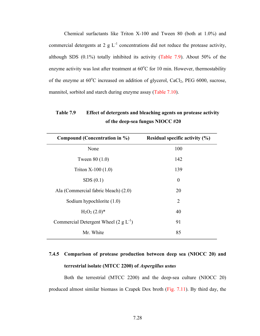Chemical surfactants like Triton X-100 and Tween 80 (both at 1.0%) and commercial detergents at 2 g  $L^{-1}$  concentrations did not reduce the protease activity, although SDS (0.1%) totally inhibited its activity (Table 7.9). About 50% of the enzyme activity was lost after treatment at  $60^{\circ}$ C for 10 min. However, thermostability of the enzyme at  $60^{\circ}$ C increased on addition of glycerol, CaCl<sub>2</sub>, PEG  $6000$ , sucrose, mannitol, sorbitol and starch during enzyme assay (Table 7.10).

**Table 7.9 Effect of detergents and bleaching agents on protease activity of the deep-sea fungus NIOCC #20** 

| Residual specific activity $(\% )$ |
|------------------------------------|
| 100                                |
| 142                                |
| 139                                |
| $\theta$                           |
| 20                                 |
| 2                                  |
| 40                                 |
| 91                                 |
| 85                                 |
|                                    |

# **7.4.5 Comparison of protease production between deep sea (NIOCC 20) and terrestrial isolate (MTCC 2200) of** *Aspergillus ustus*

Both the terrestrial (MTCC 2200) and the deep-sea culture (NIOCC 20) produced almost similar biomass in Czapek Dox broth (Fig. 7.11). By third day, the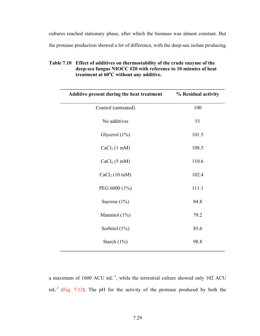cultures reached stationary phase, after which the biomass was almost constant. But the protease production showed a lot of difference, with the deep-sea isolate producing

| Table 7.10 Effect of additives on thermostability of the crude enzyme of the |
|------------------------------------------------------------------------------|
| deep-sea fungus NIOCC #20 with reference to 10 minutes of heat               |
| treatment at $60^{\circ}$ C without any additive.                            |

| Additive present during the heat treatment | % Residual activity |
|--------------------------------------------|---------------------|
| Control (untreated)                        | 100                 |
| No additives                               | 51                  |
| Glycerol (1%)                              | 101.5               |
| $CaCl2$ (1 mM)                             | 108.5               |
| $CaCl2$ (5 mM)                             | 110.6               |
| CaCl <sub>2</sub> (10 mM)                  | 102.4               |
| PEG 6000 (1%)                              | 111.1               |
| Sucrose $(1\%)$                            | 84.8                |
| Mannitol (1%)                              | 79.2                |
| Sorbitol $(1\%)$                           | 85.6                |
| Starch $(1\%)$                             | 98.8                |

a maximum of 1600 ACU  $mL^{-1}$ , while the terrestrial culture showed only 102 ACU mL<sup>-1</sup> (Fig. 7.12). The pH for the activity of the protease produced by both the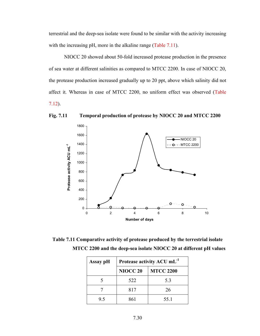terrestrial and the deep-sea isolate were found to be similar with the activity increasing with the increasing pH, more in the alkaline range (Table 7.11).

NIOCC 20 showed about 50-fold increased protease production in the presence of sea water at different salinities as compared to MTCC 2200. In case of NIOCC 20, the protease production increased gradually up to 20 ppt, above which salinity did not affect it. Whereas in case of MTCC 2200, no uniform effect was observed (Table 7.12).





**Table 7.11 Comparative activity of protease produced by the terrestrial isolate MTCC 2200 and the deep-sea isolate NIOCC 20 at different pH values** 

| Assay pH | Protease activity ACU mL <sup>-1</sup> |                  |  |
|----------|----------------------------------------|------------------|--|
|          | NIOCC <sub>20</sub>                    | <b>MTCC 2200</b> |  |
|          | 522                                    | 5.3              |  |
|          | 817                                    | 26               |  |
| 95       | 861                                    | 55 1             |  |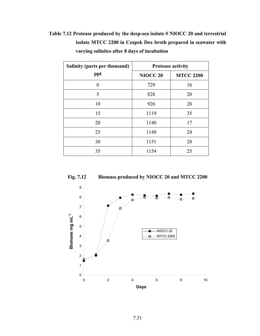| Table 7.12 Protease produced by the deep-sea isolate # NIOCC 20 and terrestrial |
|---------------------------------------------------------------------------------|
| isolate MTCC 2200 in Czapek Dox broth prepared in seawater with                 |
| varying salinites after 8 days of incubation                                    |

| Salinity (parts per thousand) | <b>Protease activity</b> |                  |  |
|-------------------------------|--------------------------|------------------|--|
| ppt                           | <b>NIOCC 20</b>          | <b>MTCC 2200</b> |  |
| 0                             | 729                      | 16               |  |
| 5                             | 828                      | 20               |  |
| 10                            | 926                      | 28               |  |
| 15                            | 1119                     | 35               |  |
| 20                            | 1140                     | 17               |  |
| 25                            | 1149                     | 24               |  |
| 30                            | 1151                     | 28               |  |
| 35                            | 1154                     | 25               |  |



**Fig. 7.12 Biomass produced by NIOCC 20 and MTCC 2200**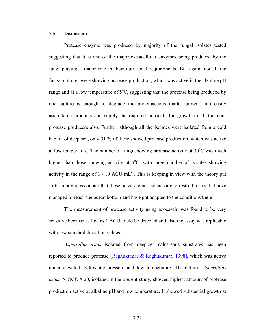#### **7.5 Discussion**

Protease enzyme was produced by majority of the fungal isolates tested suggesting that it is one of the major extracellular enzymes being produced by the fungi playing a major role in their nutritional requirements. But again, not all the fungal cultures were showing protease production, which was active in the alkaline pH range and at a low temperature of  $5^{\circ}$ C, suggesting that the protease being produced by one culture is enough to degrade the proteinaceous matter present into easily assimilable products and supply the required nutrients for growth to all the nonprotease producers also. Further, although all the isolates were isolated from a cold habitat of deep sea, only 51 % of these showed protease production, which was active at low temperature. The number of fungi showing protease activity at  $30^{\circ}$ C was much higher than those showing activity at  $5^{\circ}$ C, with large number of isolates showing activity in the range of  $1 - 10$  ACU mL<sup>-1</sup>. This is keeping in view with the theory put forth in previous chapter that these peizotolerant isolates are terrestrial forms that have managed to reach the ocean bottom and have got adapted to the conditions there.

The measurement of protease activity using azocasein was found to be very sensitive because as low as 1 ACU could be detected and also the assay was replicable with low standard deviation values.

*Aspergillus ustus* isolated from deep-sea calcareous substrates has been reported to produce protease [Raghukumar & Raghukumar, 1998], which was active under elevated hydrostatic pressure and low temperature. The culture, *Aspergillus ustus*, NIOCC # 20, isolated in the present study, showed highest amount of protease production active at alkaline pH and low temperature. It showed substantial growth at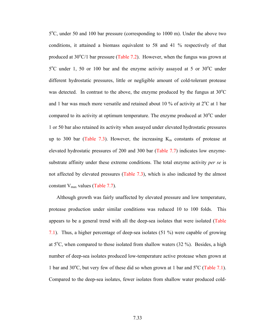5°C, under 50 and 100 bar pressure (corresponding to 1000 m). Under the above two conditions, it attained a biomass equivalent to 58 and 41 % respectively of that produced at  $30^{\circ}$ C/1 bar pressure (Table 7.2). However, when the fungus was grown at 5°C under 1, 50 or 100 bar and the enzyme activity assayed at 5 or 30°C under different hydrostatic pressures, little or negligible amount of cold-tolerant protease was detected. In contrast to the above, the enzyme produced by the fungus at  $30^{\circ}$ C and 1 bar was much more versatile and retained about 10 % of activity at  $2^{\circ}$ C at 1 bar compared to its activity at optimum temperature. The enzyme produced at  $30^{\circ}$ C under 1 or 50 bar also retained its activity when assayed under elevated hydrostatic pressures up to 300 bar (Table 7.3). However, the increasing  $K_m$  constants of protease at elevated hydrostatic pressures of 200 and 300 bar (Table 7.7) indicates low enzymesubstrate affinity under these extreme conditions. The total enzyme activity *per se* is not affected by elevated pressures (Table 7.3), which is also indicated by the almost constant  $V_{\text{max}}$  values (Table 7.7).

Although growth was fairly unaffected by elevated pressure and low temperature, protease production under similar conditions was reduced 10 to 100 folds. This appears to be a general trend with all the deep-sea isolates that were isolated (Table 7.1). Thus, a higher percentage of deep-sea isolates (51 %) were capable of growing at  $5^{\circ}$ C, when compared to those isolated from shallow waters (32 %). Besides, a high number of deep-sea isolates produced low-temperature active protease when grown at 1 bar and  $30^{\circ}$ C, but very few of these did so when grown at 1 bar and  $5^{\circ}$ C (Table 7.1). Compared to the deep-sea isolates, fewer isolates from shallow water produced cold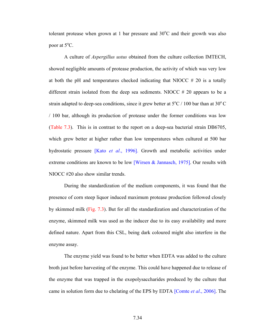tolerant protease when grown at 1 bar pressure and  $30^{\circ}$ C and their growth was also poor at  $5^{\circ}$ C.

A culture of *Aspergillus ustus* obtained from the culture collection IMTECH, showed negligible amounts of protease production, the activity of which was very low at both the pH and temperatures checked indicating that NIOCC  $# 20$  is a totally different strain isolated from the deep sea sediments. NIOCC  $# 20$  appears to be a strain adapted to deep-sea conditions, since it grew better at  $5^{\circ}$ C / 100 bar than at 30<sup>°</sup>C / 100 bar, although its production of protease under the former conditions was low (Table 7.3). This is in contrast to the report on a deep-sea bacterial strain DB6705, which grew better at higher rather than low temperatures when cultured at 500 bar hydrostatic pressure [Kato *et al*., 1996]. Growth and metabolic activities under extreme conditions are known to be low [Wirsen & Jannasch, 1975]. Our results with NIOCC #20 also show similar trends.

During the standardization of the medium components, it was found that the presence of corn steep liquor induced maximum protease production followed closely by skimmed milk (Fig. 7.3). But for all the standardization and characterization of the enzyme, skimmed milk was used as the inducer due to its easy availability and more defined nature. Apart from this CSL, being dark coloured might also interfere in the enzyme assay.

The enzyme yield was found to be better when EDTA was added to the culture broth just before harvesting of the enzyme. This could have happened due to release of the enzyme that was trapped in the exopolysaccharides produced by the culture that came in solution form due to chelating of the EPS by EDTA [Comte *et al*., 2006]. The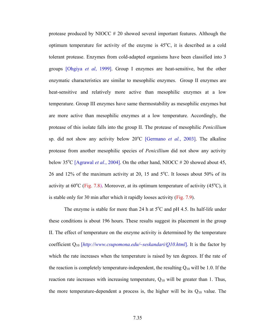protease produced by NIOCC # 20 showed several important features. Although the optimum temperature for activity of the enzyme is  $45^{\circ}$ C, it is described as a cold tolerant protease. Enzymes from cold-adapted organisms have been classified into 3 groups [Ohgiya *et al*, 1999]. Group I enzymes are heat-sensitive, but the other enzymatic characteristics are similar to mesophilic enzymes. Group II enzymes are heat-sensitive and relatively more active than mesophilic enzymes at a low temperature. Group III enzymes have same thermostability as mesophilic enzymes but are more active than mesophilic enzymes at a low temperature. Accordingly, the protease of this isolate falls into the group II. The protease of mesophilic *Penicillium* sp. did not show any activity below 20<sup>o</sup>C [Germano *et al.*, 2003]. The alkaline protease from another mesophilic species of *Penicillium* did not show any activity below  $35^{\circ}$ C [Agrawal *et al.*, 2004]. On the other hand, NIOCC # 20 showed about 45, 26 and 12% of the maximum activity at 20, 15 and  $5^{\circ}$ C. It looses about 50% of its activity at  $60^{\circ}$ C (Fig. 7.8). Moreover, at its optimum temperature of activity (45 $^{\circ}$ C), it is stable only for 30 min after which it rapidly looses activity (Fig. 7.9).

The enzyme is stable for more than 24 h at  $5^{\circ}$ C and pH 4.5. Its half-life under these conditions is about 196 hours. These results suggest its placement in the group II. The effect of temperature on the enzyme activity is determined by the temperature coefficient Q10 [*http://www.csupomona.edu/~seskandari/Q10.html*]. It is the factor by which the rate increases when the temperature is raised by ten degrees. If the rate of the reaction is completely temperature-independent, the resulting  $Q_{10}$  will be 1.0. If the reaction rate increases with increasing temperature,  $Q_{10}$  will be greater than 1. Thus, the more temperature-dependent a process is, the higher will be its  $Q_{10}$  value. The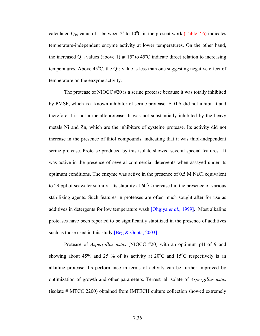calculated  $Q_{10}$  value of 1 between  $2^{\circ}$  to  $10^{\circ}$ C in the present work (Table 7.6) indicates temperature-independent enzyme activity at lower temperatures. On the other hand, the increased  $Q_{10}$  values (above 1) at 15<sup>°</sup> to 45<sup>°</sup>C indicate direct relation to increasing temperatures. Above  $45^{\circ}$ C, the  $Q_{10}$  value is less than one suggesting negative effect of temperature on the enzyme activity.

The protease of NIOCC #20 is a serine protease because it was totally inhibited by PMSF, which is a known inhibitor of serine protease. EDTA did not inhibit it and therefore it is not a metalloprotease. It was not substantially inhibited by the heavy metals Ni and Zn, which are the inhibitors of cysteine protease. Its activity did not increase in the presence of thiol compounds, indicating that it was thiol-independent serine protease. Protease produced by this isolate showed several special features. It was active in the presence of several commercial detergents when assayed under its optimum conditions. The enzyme was active in the presence of 0.5 M NaCl equivalent to 29 ppt of seawater salinity. Its stability at  $60^{\circ}$ C increased in the presence of various stabilizing agents. Such features in proteases are often much sought after for use as additives in detergents for low temperature wash [Ohgiya *et al*., 1999]. Most alkaline proteases have been reported to be significantly stabilized in the presence of additives such as those used in this study [Beg  $& Gupta, 2003$ ].

Protease of *Aspergillus ustus* (NIOCC #20) with an optimum pH of 9 and showing about 45% and 25 % of its activity at  $20^{\circ}$ C and  $15^{\circ}$ C respectively is an alkaline protease. Its performance in terms of activity can be further improved by optimization of growth and other parameters. Terrestrial isolate of *Aspergillus ustus* (isolate # MTCC 2200) obtained from IMTECH culture collection showed extremely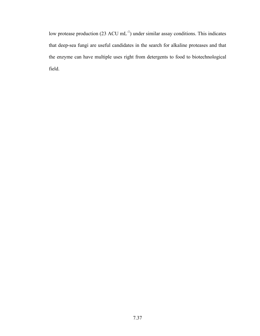low protease production (23 ACU mL<sup>-1</sup>) under similar assay conditions. This indicates that deep-sea fungi are useful candidates in the search for alkaline proteases and that the enzyme can have multiple uses right from detergents to food to biotechnological field.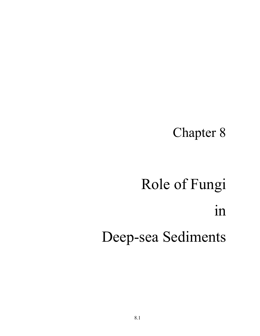# Chapter 8

# Role of Fungi in Deep-sea Sediments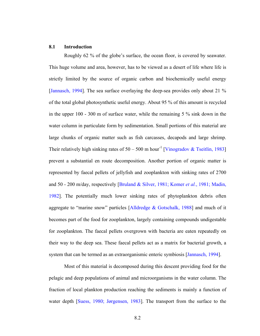#### **8.1 Introduction**

Roughly 62 % of the globe's surface, the ocean floor, is covered by seawater. This huge volume and area, however, has to be viewed as a desert of life where life is strictly limited by the source of organic carbon and biochemically useful energy [Jannasch, 1994]. The sea surface overlaying the deep-sea provides only about 21 % of the total global photosynthetic useful energy. About 95 % of this amount is recycled in the upper 100 - 300 m of surface water, while the remaining 5 % sink down in the water column in particulate form by sedimentation. Small portions of this material are large chunks of organic matter such as fish carcasses, decapods and large shrimp. Their relatively high sinking rates of  $50 - 500$  m hour<sup>-1</sup> [Vinogradov & Tseitlin, 1983] prevent a substantial en route decomposition. Another portion of organic matter is represented by faecal pellets of jellyfish and zooplankton with sinking rates of 2700 and 50 - 200 m/day, respectively [Bruland & Silver, 1981; Komer *et al.*, 1981; Madin, 1982]. The potentially much lower sinking rates of phytoplankton debris often aggregate to "marine snow" particles [Alldredge & Gotschalk, 1988] and much of it becomes part of the food for zooplankton, largely containing compounds undigestable for zooplankton. The faecal pellets overgrown with bacteria are eaten repeatedly on their way to the deep sea. These faecal pellets act as a matrix for bacterial growth, a system that can be termed as an extraorganismic enteric symbiosis [Jannasch, 1994].

Most of this material is decomposed during this descent providing food for the pelagic and deep populations of animal and microorganisms in the water column. The fraction of local plankton production reaching the sediments is mainly a function of water depth [Suess, 1980; Jørgensen, 1983]. The transport from the surface to the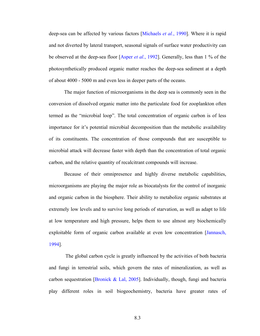deep-sea can be affected by various factors [Michaels *et al.*, 1990]. Where it is rapid and not diverted by lateral transport, seasonal signals of surface water productivity can be observed at the deep-sea floor [Asper *et al.*, 1992]. Generally, less than 1 % of the photosynthetically produced organic matter reaches the deep-sea sediment at a depth of about 4000 - 5000 m and even less in deeper parts of the oceans.

 The major function of microorganisms in the deep sea is commonly seen in the conversion of dissolved organic matter into the particulate food for zooplankton often termed as the "microbial loop". The total concentration of organic carbon is of less importance for it's potential microbial decomposition than the metabolic availability of its constituents. The concentration of those compounds that are susceptible to microbial attack will decrease faster with depth than the concentration of total organic carbon, and the relative quantity of recalcitrant compounds will increase.

Because of their omnipresence and highly diverse metabolic capabilities, microorganisms are playing the major role as biocatalysts for the control of inorganic and organic carbon in the biosphere. Their ability to metabolize organic substrates at extremely low levels and to survive long periods of starvation, as well as adapt to life at low temperature and high pressure, helps them to use almost any biochemically exploitable form of organic carbon available at even low concentration [Jannasch, 1994].

 The global carbon cycle is greatly influenced by the activities of both bacteria and fungi in terrestrial soils, which govern the rates of mineralization, as well as carbon sequestration [Bronick & Lal, 2005]. Individually, though, fungi and bacteria play different roles in soil biogeochemistry, bacteria have greater rates of

8.3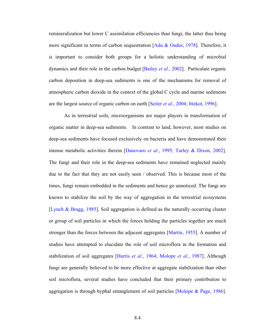remineralization but lower C assimilation efficiencies than fungi, the latter thus being more significant in terms of carbon sequestration [Adu & Oades, 1978]. Therefore, it is important to consider both groups for a holistic understanding of microbial dynamics and their role in the carbon budget [Bailey *et al.*, 2002]. Particulate organic carbon deposition in deep-sea sediments is one of the mechanisms for removal of atmospheric carbon dioxide in the context of the global C cycle and marine sediments are the largest source of organic carbon on earth [Seiter *et al.*, 2004; Ittekot, 1996].

As in terrestrial soils, microorganisms are major players in transformation of organic matter in deep-sea sediments. In contrast to land, however, most studies on deep-sea sediments have focused exclusively on bacteria and have demonstrated their intense metabolic activities therein [Danovaro *et al.*, 1995; Turley & Dixon, 2002]. The fungi and their role in the deep-sea sediments have remained neglected mainly due to the fact that they are not easily seen / observed. This is because most of the times, fungi remain embedded in the sediments and hence go unnoticed. The fungi are known to stabilize the soil by the way of aggregation in the terrestrial ecosystems [Lynch & Bragg, 1985]. Soil aggregation is defined as the naturally occurring cluster or group of soil particles in which the forces holding the particles together are much stronger than the forces between the adjacent aggregates [Martin, 1955]. A number of studies have attempted to elucidate the role of soil microflora in the formation and stabilization of soil aggregates [Harris *et al.*, 1964; Molope *et al*., 1987]. Although fungi are generally believed to be more effective at aggregate stabilization than other soil microflora, several studies have concluded that their primary contribution to aggregation is through hyphal entanglement of soil particles [Molope & Page, 1986].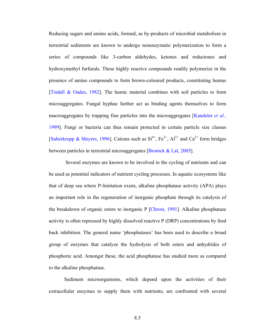Reducing sugars and amino acids, formed, as by-products of microbial metabolism in terrestrial sediments are known to undergo nonenzymatic polymerization to form a series of compounds like 3-carbon aldehydes, ketones and reductones and hydroxymethyl furfurals. These highly reactive compounds readily polymerize in the presence of amino compounds to form brown-coloured products, constituting humus [Tisdall & Oades, 1982]. The humic material combines with soil particles to form microaggregates. Fungal hyphae further act as binding agents themselves to form macroaggregates by trapping fine particles into the microaggregates [Kandeler *et al.*, 1999]. Fungi or bacteria can thus remain protected in certain particle size classes [Suberkropp & Meyers, 1996]. Cations such as  $Si^{4+}$ ,  $Fe^{3+}$ ,  $Al^{3+}$  and  $Ca^{2+}$  form bridges between particles in terrestrial microaggregates [Bronick & Lal, 2005].

 Several enzymes are known to be involved in the cycling of nutrients and can be used as potential indicators of nutrient cycling processes. In aquatic ecosystems like that of deep sea where P-limitation exists, alkaline phosphatase activity (APA) plays an important role in the regeneration of inorganic phosphate through its catalysis of the breakdown of organic esters to inorganic P [Chrost, 1991]. Alkaline phosphatase activity is often repressed by highly dissolved reactive P (DRP) concentrations by feed back inhibition. The general name 'phosphatases' has been used to describe a broad group of enzymes that catalyze the hydrolysis of both esters and anhydrides of phosphoric acid. Amongst these, the acid phosphatase has studied more as compared to the alkaline phosphatase.

Sediment microorganisms, which depend upon the activities of their extracellular enzymes to supply them with nutrients, are confronted with several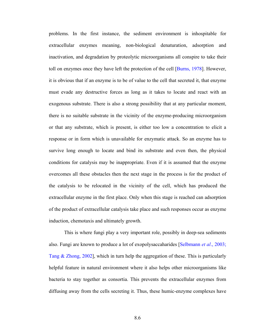problems. In the first instance, the sediment environment is inhospitable for extracellular enzymes meaning, non-biological denaturation, adsorption and inactivation, and degradation by proteolytic microorganisms all conspire to take their toll on enzymes once they have left the protection of the cell [Burns, 1978]. However, it is obvious that if an enzyme is to be of value to the cell that secreted it, that enzyme must evade any destructive forces as long as it takes to locate and react with an exogenous substrate. There is also a strong possibility that at any particular moment, there is no suitable substrate in the vicinity of the enzyme-producing microorganism or that any substrate, which is present, is either too low a concentration to elicit a response or in form which is unavailable for enzymatic attack. So an enzyme has to survive long enough to locate and bind its substrate and even then, the physical conditions for catalysis may be inappropriate. Even if it is assumed that the enzyme overcomes all these obstacles then the next stage in the process is for the product of the catalysis to be relocated in the vicinity of the cell, which has produced the extracellular enzyme in the first place. Only when this stage is reached can adsorption of the product of extracellular catalysis take place and such responses occur as enzyme induction, chemotaxis and ultimately growth.

This is where fungi play a very important role, possibly in deep-sea sediments also. Fungi are known to produce a lot of exopolysaccaharides [Selbmann *et al*., 2003; Tang & Zhong, 2002], which in turn help the aggregation of these. This is particularly helpful feature in natural environment where it also helps other microorganisms like bacteria to stay together as consortia. This prevents the extracellular enzymes from diffusing away from the cells secreting it. Thus, these humic-enzyme complexes have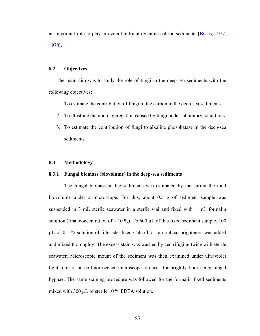an important role to play in overall nutrient dynamics of the sediments [Burns, 1977, 1978].

#### **8.2 Objectives**

The main aim was to study the role of fungi in the deep-sea sediments with the following objectives:

- 1. To estimate the contribution of fungi to the carbon in the deep-sea sediments
- 2. To illustrate the microaggregation caused by fungi under laboratory conditions
- 3. To estimate the contribution of fungi to alkaline phosphatase in the deep-sea sediments.

#### **8.3 Methodology**

#### **8.3.1 Fungal biomass (biovolume) in the deep-sea sediments**

The fungal biomass in the sediments was estimated by measuring the total biovolume under a microscope. For this, about 0.5 g of sediment sample was suspended in 3 mL sterile seawater in a sterile vial and fixed with 1 mL formalin solution (final concentration of  $\sim 10$ %). To 600 µL of this fixed sediment sample, 100 µL of 0.1 % solution of filter sterilized Calcofluor, an optical brightener, was added and mixed thoroughly. The excess stain was washed by centrifuging twice with sterile seawater. Microscopic mount of the sediment was then examined under ultraviolet light filter of an epifluorescence microscope to check for brightly fluorescing fungal hyphae. The same staining procedure was followed for the formalin fixed sediments mixed with 300 µL of sterile 10 % EDTA solution.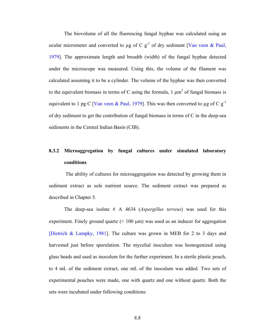The biovolume of all the fluorescing fungal hyphae was calculated using an ocular micrometer and converted to  $\mu$ g of C g<sup>-1</sup> of dry sediment [Van veen & Paul, 1979]. The approximate length and breadth (width) of the fungal hyphae detected under the microscope was measured. Using this, the volume of the filament was calculated assuming it to be a cylinder. The volume of the hyphae was then converted to the equivalent biomass in terms of C using the formula,  $1 \mu m^3$  of fungal biomass is equivalent to 1 pg C [Van veen & Paul, 1979]. This was then converted to  $\mu$ g of C g<sup>-1</sup> of dry sediment to get the contribution of fungal biomass in terms of C in the deep-sea sediments in the Central Indian Basin (CIB).

# **8.3.2 Microaggregation by fungal cultures under simulated laboratory conditions**

 The ability of cultures for microaggregation was detected by growing them in sediment extract as sole nutrient source. The sediment extract was prepared as described in Chapter 5.

 The deep-sea isolate # A 4634 (*Aspergillus terreus*) was used for this experiment. Finely ground quartz  $($  100  $\mu$ m) was used as an inducer for aggregation [Dietrich & Lampky, 1981]. The culture was grown in MEB for 2 to 3 days and harvested just before sporulation. The mycelial inoculum was homogenized using glass beads and used as inoculum for the further experiment. In a sterile plastic pouch, to 4 mL of the sediment extract, one mL of the inoculum was added. Two sets of experimental pouches were made, one with quartz and one without quartz. Both the sets were incubated under following conditions: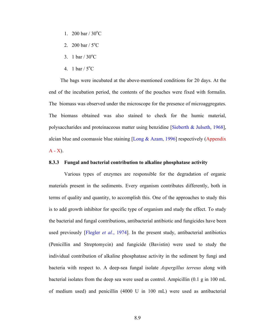- 1. 200 bar /  $30^{\circ}$ C
- 2. 200 bar /  $5^{\circ}$ C
- 3. 1 bar /  $30^{\circ}$ C
- 4. 1 bar /  $5^{\circ}$ C

The bags were incubated at the above-mentioned conditions for 20 days. At the end of the incubation period, the contents of the pouches were fixed with formalin. The biomass was observed under the microscope for the presence of microaggregates. The biomass obtained was also stained to check for the humic material, polysaccharides and proteinaceous matter using benzidine [Sieberth & Julseth, 1968], alcian blue and coomassie blue staining [Long  $\&$  Azam, 1996] respectively (Appendix  $A - X$ ).

#### **8.3.3 Fungal and bacterial contribution to alkaline phosphatase activity**

Various types of enzymes are responsible for the degradation of organic materials present in the sediments. Every organism contributes differently, both in terms of quality and quantity, to accomplish this. One of the approaches to study this is to add growth inhibitor for specific type of organism and study the effect. To study the bacterial and fungal contributions, antibacterial antibiotic and fungicides have been used previously [Flegler *et al.*, 1974]. In the present study, antibacterial antibiotics (Penicillin and Streptomycin) and fungicide (Bavistin) were used to study the individual contribution of alkaline phosphatase activity in the sediment by fungi and bacteria with respect to. A deep-sea fungal isolate *Aspergillus terreus* along with bacterial isolates from the deep sea were used as control. Ampicillin (0.1 g in 100 mL of medium used) and penicillin (4000 U in 100 mL) were used as antibacterial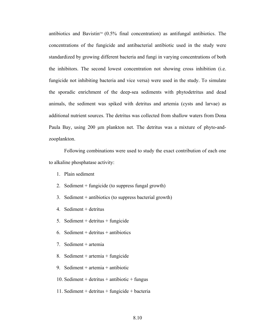antibiotics and Bavistin<sup> $M$ </sup> (0.5% final concentration) as antifungal antibiotics. The concentrations of the fungicide and antibacterial antibiotic used in the study were standardized by growing different bacteria and fungi in varying concentrations of both the inhibitors. The second lowest concentration not showing cross inhibition (i.e. fungicide not inhibiting bacteria and vice versa) were used in the study. To simulate the sporadic enrichment of the deep-sea sediments with phytodetritus and dead animals, the sediment was spiked with detritus and artemia (cysts and larvae) as additional nutrient sources. The detritus was collected from shallow waters from Dona Paula Bay, using 200 µm plankton net. The detritus was a mixture of phyto-andzooplankton.

 Following combinations were used to study the exact contribution of each one to alkaline phosphatase activity:

- 1. Plain sediment
- 2. Sediment + fungicide (to suppress fungal growth)
- 3. Sediment + antibiotics (to suppress bacterial growth)
- 4. Sediment + detritus
- 5. Sediment + detritus + fungicide
- 6. Sediment + detritus + antibiotics
- 7. Sediment + artemia
- 8. Sediment + artemia + fungicide
- 9. Sediment + artemia + antibiotic
- 10. Sediment + detritus + antibiotic + fungus
- 11. Sediment + detritus + fungicide + bacteria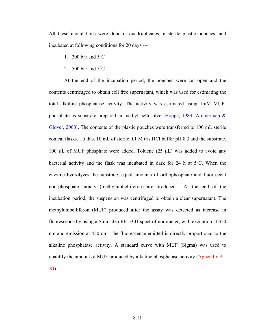All these inoculations were done in quadruplicates in sterile plastic pouches, and incubated at following conditions for 20 days ---

- 1. 200 bar and  $5^{\circ}$ C
- 2.  $500$  bar and  $5^{\circ}$ C

At the end of the incubation period, the pouches were cut open and the contents centrifuged to obtain cell free supernatant, which was used for estimating the total alkaline phosphatase activity. The activity was estimated using 1mM MUFphosphate as substrate prepared in methyl cellosolve [Hoppe, 1983; Ammerman & Glover, 2000]. The contents of the plastic pouches were transferred to 100 mL sterile conical flasks. To this, 10 mL of sterile 0.1 M tris HCl buffer pH 8.3 and the substrate, 100  $\mu$ L of MUF phosphate were added. Toluene (25  $\mu$ L) was added to avoid any bacterial activity and the flask was incubated in dark for 24 h at  $5^{\circ}$ C. When the enzyme hydrolyzes the substrate, equal amounts of orthophosphate and fluorescent non-phosphate moiety (methylumbelliferon) are produced. At the end of the incubation period, the suspension was centrifuged to obtain a clear supernatant. The methylumbelliferon (MUF) produced after the assay was detected as increase in fluorescence by using a Shimadzu RF-5301 spectrofluorometer, with excitation at 350 nm and emission at 450 nm. The fluorescence emitted is directly proportional to the alkaline phosphatase activity. A standard curve with MUF (Sigma) was used to quantify the amount of MUF produced by alkaline phosphatase activity (Appendix A - XI).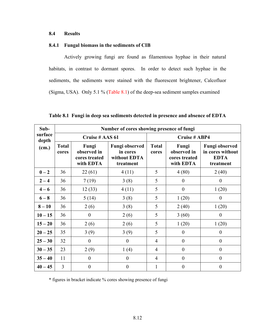#### **8.4 Results**

#### **8.4.1 Fungal biomass in the sediments of CIB**

Actively growing fungi are found as filamentous hyphae in their natural habitats, in contrast to dormant spores. In order to detect such hyphae in the sediments, the sediments were stained with the fluorescent brightener, Calcofluor (Sigma, USA). Only 5.1 % (Table 8.1) of the deep-sea sediment samples examined

| Sub-             | Number of cores showing presence of fungi |                                                    |                                                         |                       |                                                    |                                                                       |  |
|------------------|-------------------------------------------|----------------------------------------------------|---------------------------------------------------------|-----------------------|----------------------------------------------------|-----------------------------------------------------------------------|--|
| surface<br>depth | Cruise # AAS 61                           |                                                    |                                                         | <b>Cruise # ABP4</b>  |                                                    |                                                                       |  |
| (cm.)            | <b>Total</b><br>cores                     | Fungi<br>observed in<br>cores treated<br>with EDTA | Fungi observed<br>in cores<br>without EDTA<br>treatment | <b>Total</b><br>cores | Fungi<br>observed in<br>cores treated<br>with EDTA | <b>Fungi observed</b><br>in cores without<br><b>EDTA</b><br>treatment |  |
| $0-2$            | 36                                        | 22(61)                                             | 4(11)                                                   | 5                     | 4(80)                                              | 2(40)                                                                 |  |
| $2 - 4$          | 36                                        | 7(19)                                              | 3(8)                                                    | 5                     | $\theta$                                           | $\theta$                                                              |  |
| $4 - 6$          | 36                                        | 12(33)                                             | 4(11)                                                   | 5                     | $\theta$                                           | 1(20)                                                                 |  |
| $6 - 8$          | 36                                        | 5(14)                                              | 3(8)                                                    | 5                     | 1(20)                                              | $\overline{0}$                                                        |  |
| $8 - 10$         | 36                                        | 2(6)                                               | 3(8)                                                    | 5                     | 2(40)                                              | 1(20)                                                                 |  |
| $10 - 15$        | 36                                        | $\mathbf{0}$                                       | 2(6)                                                    | 5                     | 3(60)                                              | $\theta$                                                              |  |
| $15 - 20$        | 36                                        | 2(6)                                               | 2(6)                                                    | 5                     | 1(20)                                              | 1(20)                                                                 |  |
| $20 - 25$        | 35                                        | 3(9)                                               | 3(9)                                                    | 5                     | $\theta$                                           | $\overline{0}$                                                        |  |
| $25 - 30$        | 32                                        | $\boldsymbol{0}$                                   | $\boldsymbol{0}$                                        | $\overline{4}$        | $\boldsymbol{0}$                                   | $\boldsymbol{0}$                                                      |  |
| $30 - 35$        | 23                                        | 2(9)                                               | 1(4)                                                    | 4                     | $\boldsymbol{0}$                                   | $\theta$                                                              |  |
| $35 - 40$        | 11                                        | $\theta$                                           | $\theta$                                                | 4                     | $\theta$                                           | $\mathbf{0}$                                                          |  |
| $40 - 45$        | 3                                         | $\boldsymbol{0}$                                   | $\boldsymbol{0}$                                        | 1                     | $\theta$                                           | $\theta$                                                              |  |

**Table 8.1 Fungi in deep sea sediments detected in presence and absence of EDTA** 

\* figures in bracket indicate % cores showing presence of fungi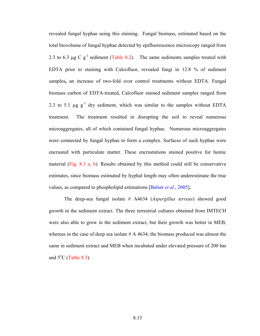revealed fungal hyphae using this staining. Fungal biomass, estimated based on the total biovolume of fungal hyphae detected by epifluorescence microscopy ranged from 2.3 to 6.3  $\mu$ g C g<sup>-1</sup> sediment (Table 8.2). The same sediments samples treated with EDTA prior to staining with Calcofluor, revealed fungi in 12.8 % of sediment samples**,** an increase of two-fold over control treatments without EDTA. Fungal biomass carbon of EDTA-treated, Calcofluor stained sediment samples ranged from 2.3 to 5.1  $\mu$ g  $g^{-1}$  dry sediment, which was similar to the samples without EDTA treatment. The treatment resulted in disrupting the soil to reveal numerous microaggregates, all of which contained fungal hyphae. Numerous microaggregates were connected by fungal hyphae to form a complex. Surfaces of such hyphae were encrusted with particulate matter. These encrustations stained positive for humic material (Fig. 8.1 a, b). Results obtained by this method could still be conservative estimates, since biomass estimated by hyphal length may often underestimate the true values, as compared to phospholipid estimations [Balser *et al*., 2005]**.**

The deep-sea fungal isolate # A4634 (*Aspergillus terreus*) showed good growth in the sediment extract. The three terrestrial cultures obtained from IMTECH were also able to grow in the sediment extract, but their growth was better in MEB, whereas in the case of deep sea isolate  $#A$  4634, the biomass produced was almost the same in sediment extract and MEB when incubated under elevated pressure of 200 bar and  $5^{\circ}$ C (Table 8.3).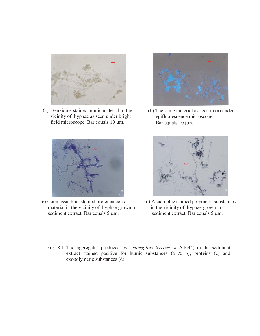

(a) Benzidine stained humic material in the vicinity of hyphae as seen under bright field microscope. Bar equals 10 µm.



(b) The same material as seen in (a) under epifluorescence microscope Bar equals 10  $\mu$ m.



(c) Coomassie blue stained proteinaceous material in the vicinity of hyphae grown in sediment extract. Bar equals 5  $\mu$ m.



- (d) Alcian blue stained polymeric substances in the vicinity of hyphae grown in sediment extract. Bar equals 5  $\mu$ m.
- Fig. 8.1 The aggregates produced by *Aspergillus terreus* (# A4634) in the sediment extract stained positive for humic substances (a & b), proteins (c) and exopolymeric substances (d).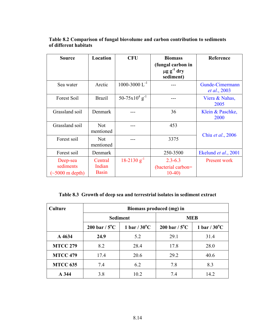| <b>Source</b>                                          | Location                          | <b>CFU</b>                     | <b>Biomass</b><br>(fungal carbon in<br>$\mu$ g g <sup>-1</sup> dry | Reference                               |
|--------------------------------------------------------|-----------------------------------|--------------------------------|--------------------------------------------------------------------|-----------------------------------------|
|                                                        |                                   |                                | sediment)                                                          |                                         |
| Sea water                                              | Arctic                            | $1000 - 3000$ $L^{-1}$         |                                                                    | Gunde-Cimermann<br><i>et al.</i> , 2003 |
| Forest Soil                                            | <b>Brazil</b>                     | $50-75x10^{4}$ g <sup>-1</sup> |                                                                    | Viera & Nahas,<br>2005                  |
| Grassland soil                                         | Denmark                           |                                | 36                                                                 | Klein & Paschke,<br>2000                |
| Grassland soil                                         | <b>Not</b><br>mentioned           |                                | 453                                                                |                                         |
| Forest soil                                            | <b>Not</b><br>mentioned           |                                | 3375                                                               | Chiu et al., 2006                       |
| Forest soil                                            | Denmark                           |                                | 250-3500                                                           | Ekelund et al., 2001                    |
| Deep-sea<br>sediments<br>$(\sim 5000 \text{ m depth})$ | Central<br>Indian<br><b>Basin</b> | $18-2130 g^{-1}$               | $2.3 - 6.3$<br>(bacterial carbon=<br>$10-40$                       | Present work                            |

#### **Table 8.2 Comparison of fungal biovolume and carbon contribution to sediments of different habitats**

### **Table 8.3 Growth of deep sea and terrestrial isolates in sediment extract**

| <b>Culture</b>  | Biomass produced (mg) in |                        |                         |                        |  |
|-----------------|--------------------------|------------------------|-------------------------|------------------------|--|
|                 | <b>Sediment</b>          |                        |                         | <b>MEB</b>             |  |
|                 | 200 bar / $5^{\circ}$ C  | 1 bar / $30^{\circ}$ C | 200 bar / $5^{\circ}$ C | 1 bar / $30^{\circ}$ C |  |
| A 4634          | 24.9                     | 5.2                    | 29.1                    | 31.4                   |  |
| <b>MTCC 279</b> | 8.2                      | 28.4                   | 17.8                    | 28.0                   |  |
| <b>MTCC 479</b> | 17.4                     | 20.6                   | 29.2                    | 40.6                   |  |
| <b>MTCC 635</b> | 7.4                      | 6.2                    | 7.8                     | 8.3                    |  |
| A 344           | 3.8                      | 10.2                   | 7.4                     | 14.2                   |  |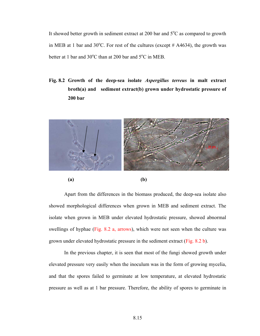It showed better growth in sediment extract at 200 bar and  $5^{\circ}$ C as compared to growth in MEB at 1 bar and  $30^{\circ}$ C. For rest of the cultures (except # A4634), the growth was better at 1 bar and  $30^{\circ}$ C than at 200 bar and  $5^{\circ}$ C in MEB.

**Fig. 8.2 Growth of the deep-sea isolate** *Aspergillus terreus* **in malt extract broth(a) and sediment extract(b) grown under hydrostatic pressure of 200 bar** 



Apart from the differences in the biomass produced, the deep-sea isolate also showed morphological differences when grown in MEB and sediment extract. The isolate when grown in MEB under elevated hydrostatic pressure, showed abnormal swellings of hyphae (Fig. 8.2 a, arrows), which were not seen when the culture was grown under elevated hydrostatic pressure in the sediment extract (Fig. 8.2 b).

In the previous chapter, it is seen that most of the fungi showed growth under elevated pressure very easily when the inoculum was in the form of growing mycelia, and that the spores failed to germinate at low temperature, at elevated hydrostatic pressure as well as at 1 bar pressure. Therefore, the ability of spores to germinate in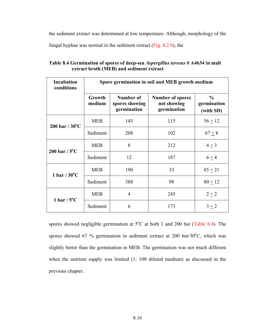the sediment extract was determined at low temperature. Although, morphology of the

fungal hyphae was normal in the sediment extract (Fig. 8.2 b), the

| <b>Incubation</b><br>conditions | Spore germination in soil and MEB growth medium |                                            |                                                       |                                           |  |
|---------------------------------|-------------------------------------------------|--------------------------------------------|-------------------------------------------------------|-------------------------------------------|--|
|                                 | Growth<br>medium                                | Number of<br>spores showing<br>germination | <b>Number of spores</b><br>not showing<br>germination | $\frac{6}{9}$<br>germination<br>(with SD) |  |
| $200$ bar / $30^{\circ}$ C      | <b>MEB</b>                                      | 145                                        | 115                                                   | $56 + 12$                                 |  |
|                                 | Sediment                                        | 208                                        | 102                                                   | $67 + 8$                                  |  |
|                                 | <b>MEB</b>                                      | 8                                          | 212                                                   | $4 \pm 3$                                 |  |
| 200 bar / $5^{\circ}$ C         | Sediment                                        | 12                                         | 187                                                   | $6 + 4$                                   |  |
| 1 bar / $30^{\circ}$ C          | <b>MEB</b>                                      | 190                                        | 33                                                    | $85 + 21$                                 |  |
|                                 | Sediment                                        | 388                                        | 98                                                    | $80 + 12$                                 |  |
| 1 bar $/5^{\circ}$ C            | <b>MEB</b>                                      | 4                                          | 245                                                   | $2 + 2$                                   |  |
|                                 | Sediment                                        | 6                                          | 173                                                   | $3 + 2$                                   |  |

**Table 8.4 Germination of spores of deep-sea** *Aspergillus terreus* **# A4634 in malt extract broth (MEB) and sediment extract** 

spores showed negligible germination at  $5^{\circ}$ C at both 1 and 200 bar (Table 8.4). The spores showed 67 % germination in sediment extract at 200 bar/30 $^{\circ}$ C, which was slightly better than the germination in MEB. The germination was not much different when the nutrient supply was limited (1: 100 diluted medium) as discussed in the previous chapter.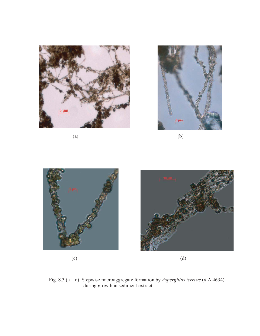



 $(a)$  (b)





 $\qquad \qquad \textbf{(c)} \qquad \qquad \textbf{(d)}$ 

Fig. 8.3 (a – d) Stepwise microaggregate formation by *Aspergillus terreus* (# A 4634) during growth in sediment extract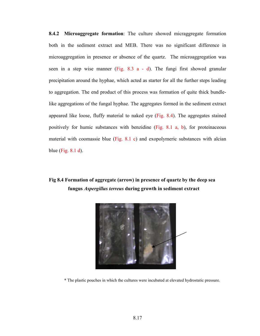**8.4.2 Microaggregate formation**: The culture showed micraggregate formation both in the sediment extract and MEB. There was no significant difference in microaggregation in presence or absence of the quartz. The microaggregation was seen in a step wise manner (Fig. 8.3 a - d). The fungi first showed granular precipitation around the hyphae, which acted as starter for all the further steps leading to aggregation. The end product of this process was formation of quite thick bundlelike aggregations of the fungal hyphae. The aggregates formed in the sediment extract appeared like loose, fluffy material to naked eye (Fig. 8.4). The aggregates stained positively for humic substances with benzidine (Fig. 8.1 a, b), for proteinaceous material with coomassie blue (Fig. 8.1 c) and exopolymeric substances with alcian blue (Fig. 8.1 d).

## **Fig 8.4 Formation of aggregate (arrow) in presence of quartz by the deep sea fungus** *Aspergillus terreus* **during growth in sediment extract**



\* The plastic pouches in which the cultures were incubated at elevated hydrostatic pressure.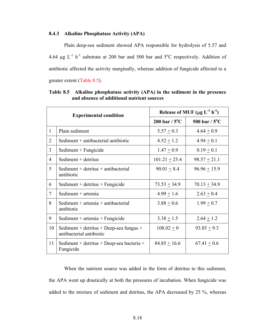#### **8.4.3 Alkaline Phosphatase Activity (APA)**

Plain deep-sea sediment showed APA responsible for hydrolysis of 5.57 and 4.64  $\mu$ g L<sup>-1</sup> h<sup>-1</sup> substrate at 200 bar and 500 bar and 5<sup>o</sup>C respectively. Addition of antibiotic affected the activity marginally, whereas addition of fungicide affected to a greater extent (Table 8.5).

| <b>Experimental condition</b> |                                                                     | Release of MUF $(\mu g L^{-1} h^{-1})$ |                         |  |
|-------------------------------|---------------------------------------------------------------------|----------------------------------------|-------------------------|--|
|                               |                                                                     | 200 bar / $5^{\circ}$ C                | 500 bar / $5^{\circ}$ C |  |
| 1                             | Plain sediment                                                      | $5.57 \pm 0.3$                         | $4.64 \pm 0.9$          |  |
| 2                             | Sediment + antibacterial antibiotic                                 | $4.52 \pm 1.2$                         | $4.94 + 0.1$            |  |
| 3                             | Sediment + Fungicide                                                | $1.47 \pm 0.9$                         | $0.19 \pm 0.1$          |  |
| $\overline{4}$                | Sediment + detritus                                                 | $101.21 \pm 25.4$                      | $98.57 \pm 21.1$        |  |
| 5                             | Sediment $+$ detritus $+$ antibacterial<br>antibiotic               | $90.01 + 8.4$                          | $96.96 \pm 15.9$        |  |
| 6                             | Sediment + detritus + Fungicide                                     | $73.53 \pm 34.9$                       | $70.13 \pm 34.9$        |  |
| $\tau$                        | Sediment $+$ artemia                                                | $4.99 \pm 1.6$                         | $2.63 \pm 0.4$          |  |
| 8                             | Sediment + $artemia$ + $antibacterial$<br>antibiotic                | $3.88 \pm 0.6$                         | $1.99 \pm 0.7$          |  |
| 9                             | Sediment + $artemia$ + $Fungicide$                                  | $3.38 \pm 1.5$                         | $2.64 \pm 1.2$          |  |
| 10                            | Sediment + detritus + Deep-sea fungus +<br>antibacterial antibiotic | $108.02 \pm 0$                         | $93.85 + 9.3$           |  |
| 11                            | Sediment + detritus + Deep-sea bacteria +<br>Fungicide              | $84.85 \pm 16.6$                       | $67.41 \pm 0.6$         |  |

**Table 8.5 Alkaline phosphatase activity (APA) in the sediment in the presence and absence of additional nutrient sources** 

When the nutrient source was added in the form of detritus to this sediment, the APA went up drastically at both the pressures of incubation. When fungicide was added to the mixture of sediment and detritus, the APA decreased by 25 %, whereas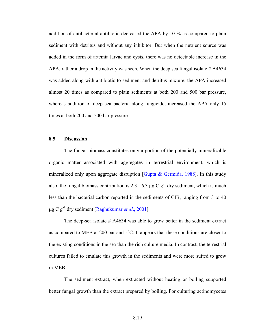addition of antibacterial antibiotic decreased the APA by 10 % as compared to plain sediment with detritus and without any inhibitor. But when the nutrient source was added in the form of artemia larvae and cysts, there was no detectable increase in the APA, rather a drop in the activity was seen. When the deep sea fungal isolate  $#A4634$ was added along with antibiotic to sediment and detritus mixture, the APA increased almost 20 times as compared to plain sediments at both 200 and 500 bar pressure, whereas addition of deep sea bacteria along fungicide, increased the APA only 15 times at both 200 and 500 bar pressure.

#### **8.5 Discussion**

The fungal biomass constitutes only a portion of the potentially mineralizable organic matter associated with aggregates in terrestrial environment, which is mineralized only upon aggregate disruption [Gupta & Germida, 1988]. In this study also, the fungal biomass contribution is 2.3 - 6.3  $\mu$ g C g<sup>-1</sup> dry sediment, which is much less than the bacterial carbon reported in the sediments of CIB, ranging from 3 to 40 µg C g-1 dry sediment [Raghukumar *et al*., 2001].

The deep-sea isolate # A4634 was able to grow better in the sediment extract as compared to MEB at 200 bar and  $5^{\circ}$ C. It appears that these conditions are closer to the existing conditions in the sea than the rich culture media. In contrast, the terrestrial cultures failed to emulate this growth in the sediments and were more suited to grow in MEB.

 The sediment extract, when extracted without heating or boiling supported better fungal growth than the extract prepared by boiling. For culturing actinomycetes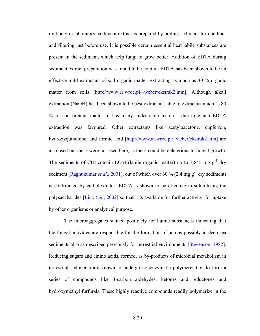routinely in laboratory, sediment extract is prepared by boiling sediment for one hour and filtering just before use. It is possible certain essential heat labile substances are present in the sediment, which help fungi to grow better. Addition of EDTA during sediment extract preparation was found to be helpful. EDTA has been shown to be an effective mild extractant of soil organic matter, extracting as much as 30 % organic matter from soils [http://www.ar.wroc.pl/~weber/ekstrak2.htm]. Although alkali extraction (NaOH) has been shown to be best extractant, able to extract as much as 80 % of soil organic matter, it has many undesirable features, due to which EDTA extraction was favoured. Other extractants like acetyloacetone, cupferron, hydroxyquinolone, and formic acid [http://www.ar.wroc.pl/~weber/ekstrak2.htm] are also used but these were not used here, as these could be deleterious to fungal growth. The sediments of CIB contain LOM (labile organic matter) up to 3.845 mg  $g^{-1}$  dry sediment [Raghukumar *et al.*, 2001], out of which over 60 % (2.4 mg  $g^{-1}$  dry sediment) is contributed by carbohydrates. EDTA is shown to be effective in solubilising the polysaccharides [Liu *et al*., 2002] so that it is available for further activity, for uptake by other organisms or analytical purpose.

The microaggregates stained positively for humic substances indicating that the fungal activities are responsible for the formation of humus possibly in deep-sea sediments also as described previously for terrestrial environments [Stevenson, 1982]. Reducing sugars and amino acids, formed, as by-products of microbial metabolism in terrestrial sediments are known to undergo nonenzymatic polymerization to form a series of compounds like 3-carbon aldehydes, ketones and reductones and hydroxymethyl furfurals. These highly reactive compounds readily polymerize in the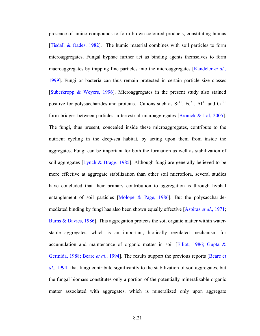presence of amino compounds to form brown-coloured products, constituting humus [Tisdall & Oades, 1982]. The humic material combines with soil particles to form microaggregates. Fungal hyphae further act as binding agents themselves to form macroaggregates by trapping fine particles into the microaggregates [Kandeler *et al.*, 1999]. Fungi or bacteria can thus remain protected in certain particle size classes [Suberkropp & Weyers, 1996]. Microaggregates in the present study also stained positive for polysaccharides and proteins. Cations such as  $Si^{4+}$ ,  $Fe^{3+}$ ,  $Al^{3+}$  and  $Ca^{2+}$ form bridges between particles in terrestrial microaggregates [Bronick & Lal, 2005]. The fungi, thus present, concealed inside these microaggregates, contribute to the nutrient cycling in the deep-sea habitat, by acting upon them from inside the aggregates. Fungi can be important for both the formation as well as stabilization of soil aggregates [Lynch & Bragg, 1985]. Although fungi are generally believed to be more effective at aggregate stabilization than other soil microflora, several studies have concluded that their primary contribution to aggregation is through hyphal entanglement of soil particles [Molope & Page, 1986]. But the polysaccharidemediated binding by fungi has also been shown equally effective [Aspiras *et al*., 1971; Burns & Davies, 1986]. This aggregation protects the soil organic matter within waterstable aggregates, which is an important, biotically regulated mechanism for accumulation and maintenance of organic matter in soil [Elliot, 1986; Gupta & Germida, 1988; Beare *et al*., 1994]. The results support the previous reports [Beare e*t al*., 1994] that fungi contribute significantly to the stabilization of soil aggregates, but the fungal biomass constitutes only a portion of the potentially mineralizable organic matter associated with aggregates, which is mineralized only upon aggregate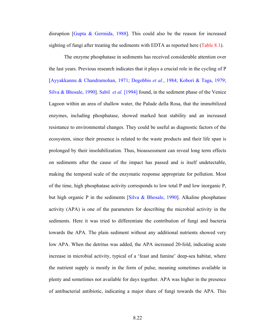disruption [Gupta & Germida, 1988]. This could also be the reason for increased sighting of fungi after treating the sediments with EDTA as reported here (Table 8.1).

The enzyme phosphatase in sediments has received considerable attention over the last years. Previous research indicates that it plays a crucial role in the cycling of P [Ayyakkannu & Chandramohan, 1971; Degobbis *et al.*, 1984; Kobori & Taga, 1979; Silva & Bhosale, 1990]. Sabil *et al.* [1994] found, in the sediment phase of the Venice Lagoon within an area of shallow water, the Palude della Rosa, that the immobilized enzymes, including phosphatase, showed marked heat stability and an increased resistance to environmental changes. They could be useful as diagnostic factors of the ecosystem, since their presence is related to the waste products and their life span is prolonged by their insolubilization. Thus, bioassessment can reveal long term effects on sediments after the cause of the impact has passed and is itself undetectable, making the temporal scale of the enzymatic response appropriate for pollution. Most of the time, high phosphatase activity corresponds to low total P and low inorganic P, but high organic P in the sediments [Silva & Bhosale, 1990]. Alkaline phosphatase activity (APA) is one of the parameters for describing the microbial activity in the sediments. Here it was tried to differentiate the contribution of fungi and bacteria towards the APA. The plain sediment without any additional nutrients showed very low APA. When the detritus was added, the APA increased 20-fold, indicating acute increase in microbial activity, typical of a 'feast and famine' deep-sea habitat, where the nutrient supply is mostly in the form of pulse, meaning sometimes available in plenty and sometimes not available for days together. APA was higher in the presence of antibacterial antibiotic, indicating a major share of fungi towards the APA. This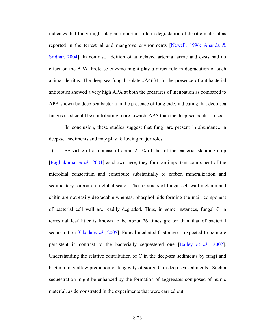indicates that fungi might play an important role in degradation of detritic material as reported in the terrestrial and mangrove environments [Newell, 1996; Ananda & Sridhar, 2004]. In contrast, addition of autoclaved artemia larvae and cysts had no effect on the APA. Protease enzyme might play a direct role in degradation of such animal detritus. The deep-sea fungal isolate #A4634, in the presence of antibacterial antibiotics showed a very high APA at both the pressures of incubation as compared to APA shown by deep-sea bacteria in the presence of fungicide, indicating that deep-sea fungus used could be contributing more towards APA than the deep-sea bacteria used.

 In conclusion, these studies suggest that fungi are present in abundance in deep-sea sediments and may play following major roles.

1) By virtue of a biomass of about 25 % of that of the bacterial standing crop [Raghukumar *et al*., 2001] as shown here, they form an important component of the microbial consortium and contribute substantially to carbon mineralization and sedimentary carbon on a global scale. The polymers of fungal cell wall melanin and chitin are not easily degradable whereas, phospholipids forming the main component of bacterial cell wall are readily degraded. Thus, in some instances, fungal C in terrestrial leaf litter is known to be about 26 times greater than that of bacterial sequestration [Okada *et al.*, 2005]. Fungal mediated C storage is expected to be more persistent in contrast to the bacterially sequestered one [Bailey *et al.*, 2002]. Understanding the relative contribution of C in the deep-sea sediments by fungi and bacteria may allow prediction of longevity of stored C in deep-sea sediments. Such a sequestration might be enhanced by the formation of aggregates composed of humic material, as demonstrated in the experiments that were carried out.